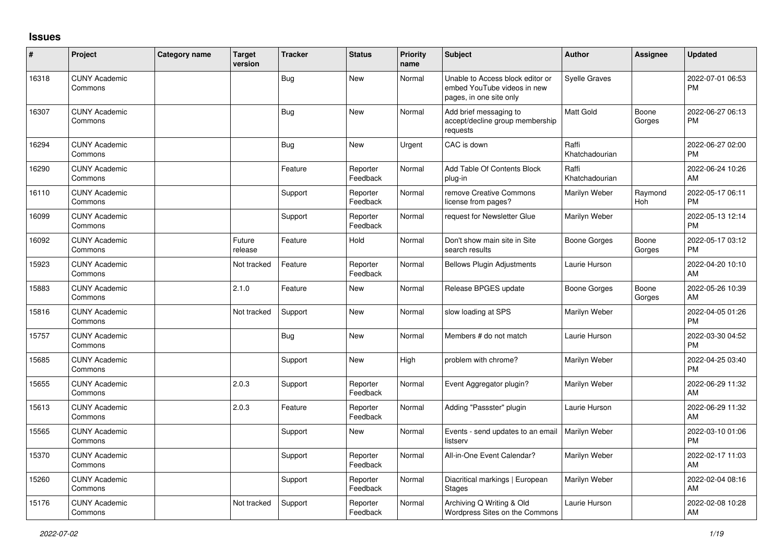## **Issues**

| #     | Project                         | <b>Category name</b> | <b>Target</b><br>version | <b>Tracker</b> | <b>Status</b>        | <b>Priority</b><br>name | <b>Subject</b>                                                                             | <b>Author</b>           | Assignee        | <b>Updated</b>                |
|-------|---------------------------------|----------------------|--------------------------|----------------|----------------------|-------------------------|--------------------------------------------------------------------------------------------|-------------------------|-----------------|-------------------------------|
| 16318 | <b>CUNY Academic</b><br>Commons |                      |                          | Bug            | <b>New</b>           | Normal                  | Unable to Access block editor or<br>embed YouTube videos in new<br>pages, in one site only | <b>Syelle Graves</b>    |                 | 2022-07-01 06:53<br><b>PM</b> |
| 16307 | <b>CUNY Academic</b><br>Commons |                      |                          | Bug            | <b>New</b>           | Normal                  | Add brief messaging to<br>accept/decline group membership<br>requests                      | <b>Matt Gold</b>        | Boone<br>Gorges | 2022-06-27 06:13<br><b>PM</b> |
| 16294 | <b>CUNY Academic</b><br>Commons |                      |                          | <b>Bug</b>     | <b>New</b>           | Urgent                  | CAC is down                                                                                | Raffi<br>Khatchadourian |                 | 2022-06-27 02:00<br><b>PM</b> |
| 16290 | <b>CUNY Academic</b><br>Commons |                      |                          | Feature        | Reporter<br>Feedback | Normal                  | Add Table Of Contents Block<br>plug-in                                                     | Raffi<br>Khatchadourian |                 | 2022-06-24 10:26<br>AM        |
| 16110 | <b>CUNY Academic</b><br>Commons |                      |                          | Support        | Reporter<br>Feedback | Normal                  | remove Creative Commons<br>license from pages?                                             | Marilyn Weber           | Raymond<br>Hoh  | 2022-05-17 06:11<br><b>PM</b> |
| 16099 | <b>CUNY Academic</b><br>Commons |                      |                          | Support        | Reporter<br>Feedback | Normal                  | request for Newsletter Glue                                                                | Marilyn Weber           |                 | 2022-05-13 12:14<br><b>PM</b> |
| 16092 | <b>CUNY Academic</b><br>Commons |                      | Future<br>release        | Feature        | Hold                 | Normal                  | Don't show main site in Site<br>search results                                             | Boone Gorges            | Boone<br>Gorges | 2022-05-17 03:12<br><b>PM</b> |
| 15923 | <b>CUNY Academic</b><br>Commons |                      | Not tracked              | Feature        | Reporter<br>Feedback | Normal                  | <b>Bellows Plugin Adjustments</b>                                                          | Laurie Hurson           |                 | 2022-04-20 10:10<br>AM        |
| 15883 | <b>CUNY Academic</b><br>Commons |                      | 2.1.0                    | Feature        | <b>New</b>           | Normal                  | Release BPGES update                                                                       | Boone Gorges            | Boone<br>Gorges | 2022-05-26 10:39<br>AM        |
| 15816 | <b>CUNY Academic</b><br>Commons |                      | Not tracked              | Support        | <b>New</b>           | Normal                  | slow loading at SPS                                                                        | Marilyn Weber           |                 | 2022-04-05 01:26<br><b>PM</b> |
| 15757 | <b>CUNY Academic</b><br>Commons |                      |                          | <b>Bug</b>     | <b>New</b>           | Normal                  | Members # do not match                                                                     | Laurie Hurson           |                 | 2022-03-30 04:52<br><b>PM</b> |
| 15685 | <b>CUNY Academic</b><br>Commons |                      |                          | Support        | <b>New</b>           | High                    | problem with chrome?                                                                       | Marilyn Weber           |                 | 2022-04-25 03:40<br><b>PM</b> |
| 15655 | <b>CUNY Academic</b><br>Commons |                      | 2.0.3                    | Support        | Reporter<br>Feedback | Normal                  | Event Aggregator plugin?                                                                   | Marilyn Weber           |                 | 2022-06-29 11:32<br>AM        |
| 15613 | <b>CUNY Academic</b><br>Commons |                      | 2.0.3                    | Feature        | Reporter<br>Feedback | Normal                  | Adding "Passster" plugin                                                                   | Laurie Hurson           |                 | 2022-06-29 11:32<br>AM        |
| 15565 | <b>CUNY Academic</b><br>Commons |                      |                          | Support        | <b>New</b>           | Normal                  | Events - send updates to an email<br>listserv                                              | Marilyn Weber           |                 | 2022-03-10 01:06<br><b>PM</b> |
| 15370 | <b>CUNY Academic</b><br>Commons |                      |                          | Support        | Reporter<br>Feedback | Normal                  | All-in-One Event Calendar?                                                                 | Marilyn Weber           |                 | 2022-02-17 11:03<br>AM        |
| 15260 | <b>CUNY Academic</b><br>Commons |                      |                          | Support        | Reporter<br>Feedback | Normal                  | Diacritical markings   European<br><b>Stages</b>                                           | Marilyn Weber           |                 | 2022-02-04 08:16<br>AM        |
| 15176 | <b>CUNY Academic</b><br>Commons |                      | Not tracked              | Support        | Reporter<br>Feedback | Normal                  | Archiving Q Writing & Old<br>Wordpress Sites on the Commons                                | Laurie Hurson           |                 | 2022-02-08 10:28<br>AM        |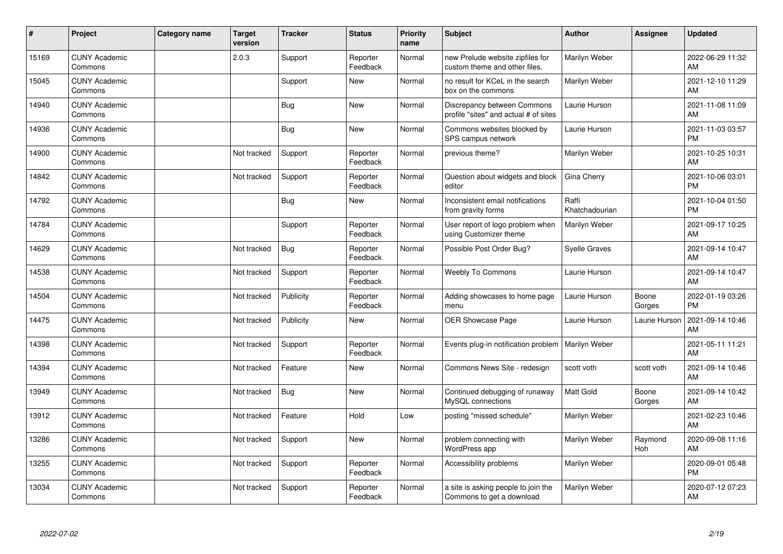| #     | Project                         | <b>Category name</b> | <b>Target</b><br>version | <b>Tracker</b> | <b>Status</b>        | <b>Priority</b><br>name | <b>Subject</b>                                                       | <b>Author</b>           | Assignee        | <b>Updated</b>                |
|-------|---------------------------------|----------------------|--------------------------|----------------|----------------------|-------------------------|----------------------------------------------------------------------|-------------------------|-----------------|-------------------------------|
| 15169 | <b>CUNY Academic</b><br>Commons |                      | 2.0.3                    | Support        | Reporter<br>Feedback | Normal                  | new Prelude website zipfiles for<br>custom theme and other files.    | Marilyn Weber           |                 | 2022-06-29 11:32<br>AM        |
| 15045 | <b>CUNY Academic</b><br>Commons |                      |                          | Support        | <b>New</b>           | Normal                  | no result for KCeL in the search<br>box on the commons               | Marilyn Weber           |                 | 2021-12-10 11:29<br>AM        |
| 14940 | <b>CUNY Academic</b><br>Commons |                      |                          | Bug            | <b>New</b>           | Normal                  | Discrepancy between Commons<br>profile "sites" and actual # of sites | Laurie Hurson           |                 | 2021-11-08 11:09<br>AM        |
| 14936 | <b>CUNY Academic</b><br>Commons |                      |                          | <b>Bug</b>     | <b>New</b>           | Normal                  | Commons websites blocked by<br>SPS campus network                    | Laurie Hurson           |                 | 2021-11-03 03:57<br><b>PM</b> |
| 14900 | <b>CUNY Academic</b><br>Commons |                      | Not tracked              | Support        | Reporter<br>Feedback | Normal                  | previous theme?                                                      | Marilyn Weber           |                 | 2021-10-25 10:31<br>AM        |
| 14842 | <b>CUNY Academic</b><br>Commons |                      | Not tracked              | Support        | Reporter<br>Feedback | Normal                  | Question about widgets and block<br>editor                           | Gina Cherry             |                 | 2021-10-06 03:01<br><b>PM</b> |
| 14792 | <b>CUNY Academic</b><br>Commons |                      |                          | <b>Bug</b>     | <b>New</b>           | Normal                  | Inconsistent email notifications<br>from gravity forms               | Raffi<br>Khatchadourian |                 | 2021-10-04 01:50<br><b>PM</b> |
| 14784 | <b>CUNY Academic</b><br>Commons |                      |                          | Support        | Reporter<br>Feedback | Normal                  | User report of logo problem when<br>using Customizer theme           | Marilyn Weber           |                 | 2021-09-17 10:25<br>AM        |
| 14629 | <b>CUNY Academic</b><br>Commons |                      | Not tracked              | <b>Bug</b>     | Reporter<br>Feedback | Normal                  | Possible Post Order Bug?                                             | <b>Syelle Graves</b>    |                 | 2021-09-14 10:47<br>AM        |
| 14538 | <b>CUNY Academic</b><br>Commons |                      | Not tracked              | Support        | Reporter<br>Feedback | Normal                  | <b>Weebly To Commons</b>                                             | Laurie Hurson           |                 | 2021-09-14 10:47<br>AM        |
| 14504 | <b>CUNY Academic</b><br>Commons |                      | Not tracked              | Publicity      | Reporter<br>Feedback | Normal                  | Adding showcases to home page<br>menu                                | Laurie Hurson           | Boone<br>Gorges | 2022-01-19 03:26<br><b>PM</b> |
| 14475 | <b>CUNY Academic</b><br>Commons |                      | Not tracked              | Publicity      | <b>New</b>           | Normal                  | OER Showcase Page                                                    | Laurie Hurson           | Laurie Hurson   | 2021-09-14 10:46<br>AM        |
| 14398 | <b>CUNY Academic</b><br>Commons |                      | Not tracked              | Support        | Reporter<br>Feedback | Normal                  | Events plug-in notification problem   Marilyn Weber                  |                         |                 | 2021-05-11 11:21<br>AM        |
| 14394 | <b>CUNY Academic</b><br>Commons |                      | Not tracked              | Feature        | <b>New</b>           | Normal                  | Commons News Site - redesign                                         | scott voth              | scott voth      | 2021-09-14 10:46<br>AM        |
| 13949 | <b>CUNY Academic</b><br>Commons |                      | Not tracked              | <b>Bug</b>     | <b>New</b>           | Normal                  | Continued debugging of runaway<br>MySQL connections                  | <b>Matt Gold</b>        | Boone<br>Gorges | 2021-09-14 10:42<br>AM        |
| 13912 | <b>CUNY Academic</b><br>Commons |                      | Not tracked              | Feature        | Hold                 | Low                     | posting "missed schedule"                                            | Marilyn Weber           |                 | 2021-02-23 10:46<br>AM        |
| 13286 | <b>CUNY Academic</b><br>Commons |                      | Not tracked              | Support        | <b>New</b>           | Normal                  | problem connecting with<br>WordPress app                             | Marilyn Weber           | Raymond<br>Hoh  | 2020-09-08 11:16<br>AM        |
| 13255 | <b>CUNY Academic</b><br>Commons |                      | Not tracked              | Support        | Reporter<br>Feedback | Normal                  | Accessibility problems                                               | Marilyn Weber           |                 | 2020-09-01 05:48<br><b>PM</b> |
| 13034 | <b>CUNY Academic</b><br>Commons |                      | Not tracked              | Support        | Reporter<br>Feedback | Normal                  | a site is asking people to join the<br>Commons to get a download     | Marilyn Weber           |                 | 2020-07-12 07:23<br>AM        |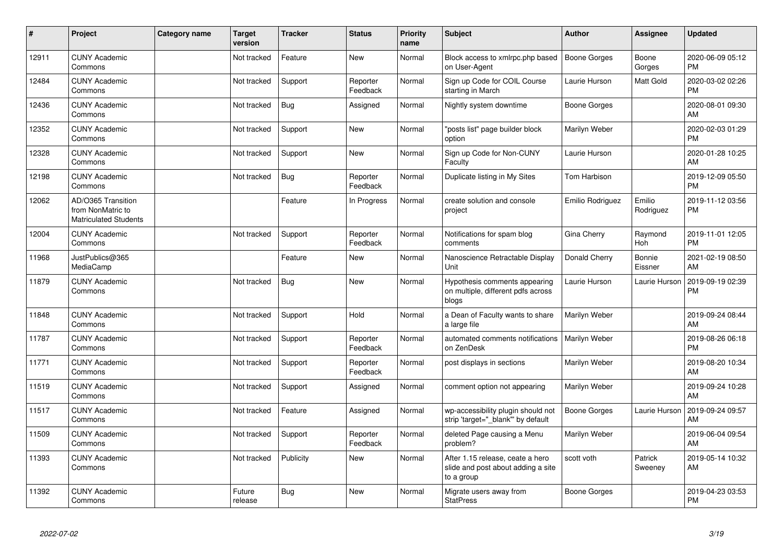| #     | Project                                                                 | <b>Category name</b> | Target<br>version | <b>Tracker</b> | <b>Status</b>        | <b>Priority</b><br>name | <b>Subject</b>                                                                       | Author              | <b>Assignee</b>     | <b>Updated</b>                |
|-------|-------------------------------------------------------------------------|----------------------|-------------------|----------------|----------------------|-------------------------|--------------------------------------------------------------------------------------|---------------------|---------------------|-------------------------------|
| 12911 | <b>CUNY Academic</b><br>Commons                                         |                      | Not tracked       | Feature        | <b>New</b>           | Normal                  | Block access to xmlrpc.php based<br>on User-Agent                                    | Boone Gorges        | Boone<br>Gorges     | 2020-06-09 05:12<br><b>PM</b> |
| 12484 | <b>CUNY Academic</b><br>Commons                                         |                      | Not tracked       | Support        | Reporter<br>Feedback | Normal                  | Sign up Code for COIL Course<br>starting in March                                    | Laurie Hurson       | Matt Gold           | 2020-03-02 02:26<br><b>PM</b> |
| 12436 | <b>CUNY Academic</b><br>Commons                                         |                      | Not tracked       | <b>Bug</b>     | Assigned             | Normal                  | Nightly system downtime                                                              | Boone Gorges        |                     | 2020-08-01 09:30<br>AM        |
| 12352 | <b>CUNY Academic</b><br>Commons                                         |                      | Not tracked       | Support        | <b>New</b>           | Normal                  | 'posts list" page builder block<br>option                                            | Marilyn Weber       |                     | 2020-02-03 01:29<br><b>PM</b> |
| 12328 | <b>CUNY Academic</b><br>Commons                                         |                      | Not tracked       | Support        | <b>New</b>           | Normal                  | Sign up Code for Non-CUNY<br>Faculty                                                 | Laurie Hurson       |                     | 2020-01-28 10:25<br>AM        |
| 12198 | <b>CUNY Academic</b><br>Commons                                         |                      | Not tracked       | <b>Bug</b>     | Reporter<br>Feedback | Normal                  | Duplicate listing in My Sites                                                        | Tom Harbison        |                     | 2019-12-09 05:50<br><b>PM</b> |
| 12062 | AD/O365 Transition<br>from NonMatric to<br><b>Matriculated Students</b> |                      |                   | Feature        | In Progress          | Normal                  | create solution and console<br>project                                               | Emilio Rodriguez    | Emilio<br>Rodriguez | 2019-11-12 03:56<br><b>PM</b> |
| 12004 | <b>CUNY Academic</b><br>Commons                                         |                      | Not tracked       | Support        | Reporter<br>Feedback | Normal                  | Notifications for spam blog<br>comments                                              | Gina Cherry         | Raymond<br>Hoh      | 2019-11-01 12:05<br><b>PM</b> |
| 11968 | JustPublics@365<br>MediaCamp                                            |                      |                   | Feature        | <b>New</b>           | Normal                  | Nanoscience Retractable Display<br>Unit                                              | Donald Cherry       | Bonnie<br>Eissner   | 2021-02-19 08:50<br>AM        |
| 11879 | <b>CUNY Academic</b><br>Commons                                         |                      | Not tracked       | <b>Bug</b>     | <b>New</b>           | Normal                  | Hypothesis comments appearing<br>on multiple, different pdfs across<br>blogs         | Laurie Hurson       | Laurie Hurson       | 2019-09-19 02:39<br><b>PM</b> |
| 11848 | <b>CUNY Academic</b><br>Commons                                         |                      | Not tracked       | Support        | Hold                 | Normal                  | a Dean of Faculty wants to share<br>a large file                                     | Marilyn Weber       |                     | 2019-09-24 08:44<br>AM        |
| 11787 | <b>CUNY Academic</b><br>Commons                                         |                      | Not tracked       | Support        | Reporter<br>Feedback | Normal                  | automated comments notifications<br>on ZenDesk                                       | Marilyn Weber       |                     | 2019-08-26 06:18<br><b>PM</b> |
| 11771 | <b>CUNY Academic</b><br>Commons                                         |                      | Not tracked       | Support        | Reporter<br>Feedback | Normal                  | post displays in sections                                                            | Marilyn Weber       |                     | 2019-08-20 10:34<br>AM        |
| 11519 | <b>CUNY Academic</b><br>Commons                                         |                      | Not tracked       | Support        | Assigned             | Normal                  | comment option not appearing                                                         | Marilyn Weber       |                     | 2019-09-24 10:28<br>AM        |
| 11517 | <b>CUNY Academic</b><br>Commons                                         |                      | Not tracked       | Feature        | Assigned             | Normal                  | wp-accessibility plugin should not<br>strip 'target=" blank" by default              | <b>Boone Gorges</b> | Laurie Hurson       | 2019-09-24 09:57<br>AM        |
| 11509 | <b>CUNY Academic</b><br>Commons                                         |                      | Not tracked       | Support        | Reporter<br>Feedback | Normal                  | deleted Page causing a Menu<br>problem?                                              | Marilyn Weber       |                     | 2019-06-04 09:54<br>AM        |
| 11393 | <b>CUNY Academic</b><br>Commons                                         |                      | Not tracked       | Publicity      | <b>New</b>           | Normal                  | After 1.15 release, ceate a hero<br>slide and post about adding a site<br>to a group | scott voth          | Patrick<br>Sweeney  | 2019-05-14 10:32<br>AM        |
| 11392 | <b>CUNY Academic</b><br>Commons                                         |                      | Future<br>release | <b>Bug</b>     | <b>New</b>           | Normal                  | Migrate users away from<br><b>StatPress</b>                                          | Boone Gorges        |                     | 2019-04-23 03:53<br><b>PM</b> |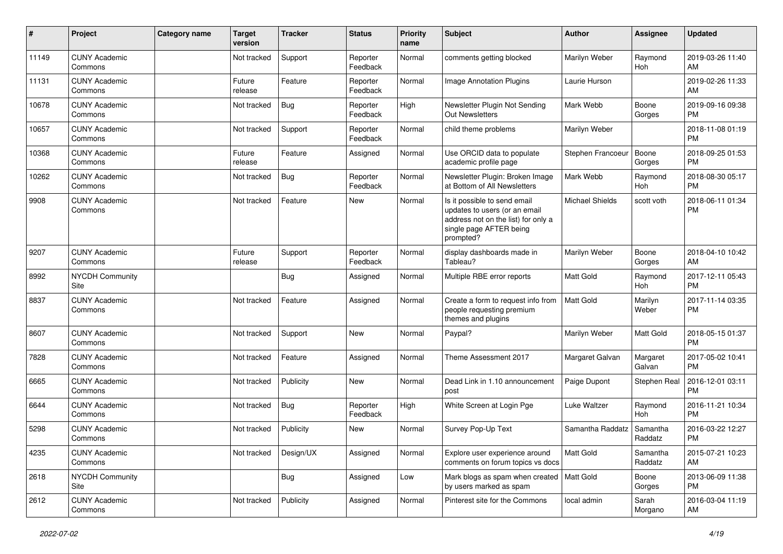| #     | Project                         | <b>Category name</b> | <b>Target</b><br>version | <b>Tracker</b> | <b>Status</b>        | <b>Priority</b><br>name | Subject                                                                                                                                      | <b>Author</b>          | <b>Assignee</b>     | <b>Updated</b>                |
|-------|---------------------------------|----------------------|--------------------------|----------------|----------------------|-------------------------|----------------------------------------------------------------------------------------------------------------------------------------------|------------------------|---------------------|-------------------------------|
| 11149 | <b>CUNY Academic</b><br>Commons |                      | Not tracked              | Support        | Reporter<br>Feedback | Normal                  | comments getting blocked                                                                                                                     | Marilyn Weber          | Raymond<br>Hoh      | 2019-03-26 11:40<br>AM        |
| 11131 | <b>CUNY Academic</b><br>Commons |                      | Future<br>release        | Feature        | Reporter<br>Feedback | Normal                  | <b>Image Annotation Plugins</b>                                                                                                              | Laurie Hurson          |                     | 2019-02-26 11:33<br>AM        |
| 10678 | <b>CUNY Academic</b><br>Commons |                      | Not tracked              | Bug            | Reporter<br>Feedback | High                    | Newsletter Plugin Not Sending<br><b>Out Newsletters</b>                                                                                      | Mark Webb              | Boone<br>Gorges     | 2019-09-16 09:38<br><b>PM</b> |
| 10657 | <b>CUNY Academic</b><br>Commons |                      | Not tracked              | Support        | Reporter<br>Feedback | Normal                  | child theme problems                                                                                                                         | Marilyn Weber          |                     | 2018-11-08 01:19<br><b>PM</b> |
| 10368 | <b>CUNY Academic</b><br>Commons |                      | Future<br>release        | Feature        | Assigned             | Normal                  | Use ORCID data to populate<br>academic profile page                                                                                          | Stephen Francoeur      | Boone<br>Gorges     | 2018-09-25 01:53<br><b>PM</b> |
| 10262 | <b>CUNY Academic</b><br>Commons |                      | Not tracked              | Bug            | Reporter<br>Feedback | Normal                  | Newsletter Plugin: Broken Image<br>at Bottom of All Newsletters                                                                              | Mark Webb              | Raymond<br>Hoh      | 2018-08-30 05:17<br><b>PM</b> |
| 9908  | <b>CUNY Academic</b><br>Commons |                      | Not tracked              | Feature        | New                  | Normal                  | Is it possible to send email<br>updates to users (or an email<br>address not on the list) for only a<br>single page AFTER being<br>prompted? | <b>Michael Shields</b> | scott voth          | 2018-06-11 01:34<br><b>PM</b> |
| 9207  | <b>CUNY Academic</b><br>Commons |                      | Future<br>release        | Support        | Reporter<br>Feedback | Normal                  | display dashboards made in<br>Tableau?                                                                                                       | Marilyn Weber          | Boone<br>Gorges     | 2018-04-10 10:42<br>AM        |
| 8992  | <b>NYCDH Community</b><br>Site  |                      |                          | <b>Bug</b>     | Assigned             | Normal                  | Multiple RBE error reports                                                                                                                   | <b>Matt Gold</b>       | Raymond<br>Hoh      | 2017-12-11 05:43<br><b>PM</b> |
| 8837  | <b>CUNY Academic</b><br>Commons |                      | Not tracked              | Feature        | Assigned             | Normal                  | Create a form to request info from<br>people requesting premium<br>themes and plugins                                                        | <b>Matt Gold</b>       | Marilyn<br>Weber    | 2017-11-14 03:35<br><b>PM</b> |
| 8607  | <b>CUNY Academic</b><br>Commons |                      | Not tracked              | Support        | <b>New</b>           | Normal                  | Paypal?                                                                                                                                      | Marilyn Weber          | Matt Gold           | 2018-05-15 01:37<br><b>PM</b> |
| 7828  | <b>CUNY Academic</b><br>Commons |                      | Not tracked              | Feature        | Assigned             | Normal                  | Theme Assessment 2017                                                                                                                        | Margaret Galvan        | Margaret<br>Galvan  | 2017-05-02 10:41<br><b>PM</b> |
| 6665  | <b>CUNY Academic</b><br>Commons |                      | Not tracked              | Publicity      | <b>New</b>           | Normal                  | Dead Link in 1.10 announcement<br>post                                                                                                       | Paige Dupont           | Stephen Real        | 2016-12-01 03:11<br><b>PM</b> |
| 6644  | <b>CUNY Academic</b><br>Commons |                      | Not tracked              | <b>Bug</b>     | Reporter<br>Feedback | High                    | White Screen at Login Pge                                                                                                                    | Luke Waltzer           | Raymond<br>Hoh      | 2016-11-21 10:34<br><b>PM</b> |
| 5298  | <b>CUNY Academic</b><br>Commons |                      | Not tracked              | Publicity      | New                  | Normal                  | Survey Pop-Up Text                                                                                                                           | Samantha Raddatz       | Samantha<br>Raddatz | 2016-03-22 12:27<br><b>PM</b> |
| 4235  | <b>CUNY Academic</b><br>Commons |                      | Not tracked              | Design/UX      | Assigned             | Normal                  | Explore user experience around<br>comments on forum topics vs docs                                                                           | Matt Gold              | Samantha<br>Raddatz | 2015-07-21 10:23<br>AM        |
| 2618  | NYCDH Community<br>Site         |                      |                          | <b>Bug</b>     | Assigned             | Low                     | Mark blogs as spam when created   Matt Gold<br>by users marked as spam                                                                       |                        | Boone<br>Gorges     | 2013-06-09 11:38<br><b>PM</b> |
| 2612  | <b>CUNY Academic</b><br>Commons |                      | Not tracked              | Publicity      | Assigned             | Normal                  | Pinterest site for the Commons                                                                                                               | local admin            | Sarah<br>Morgano    | 2016-03-04 11:19<br>AM        |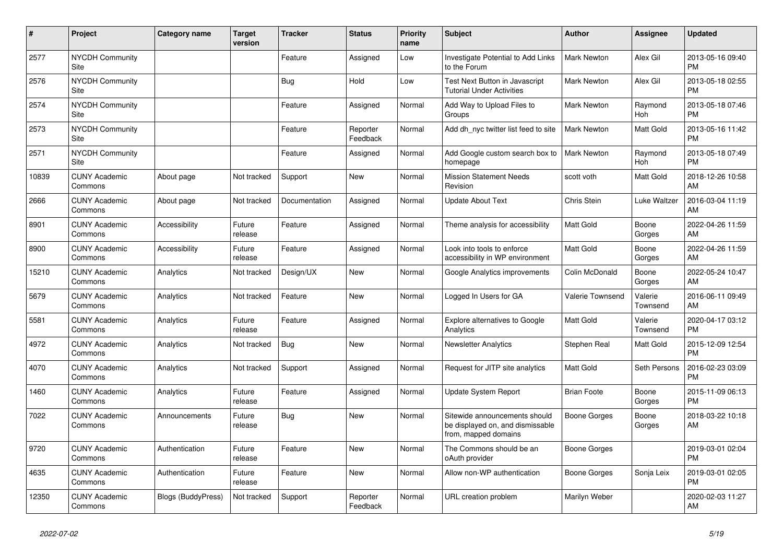| $\pmb{\sharp}$ | <b>Project</b>                  | Category name             | <b>Target</b><br>version | <b>Tracker</b> | <b>Status</b>        | Priority<br>name | <b>Subject</b>                                                                            | <b>Author</b>      | Assignee            | <b>Updated</b>                |
|----------------|---------------------------------|---------------------------|--------------------------|----------------|----------------------|------------------|-------------------------------------------------------------------------------------------|--------------------|---------------------|-------------------------------|
| 2577           | <b>NYCDH Community</b><br>Site  |                           |                          | Feature        | Assigned             | Low              | Investigate Potential to Add Links<br>to the Forum                                        | Mark Newton        | Alex Gil            | 2013-05-16 09:40<br><b>PM</b> |
| 2576           | <b>NYCDH Community</b><br>Site  |                           |                          | Bug            | Hold                 | Low              | Test Next Button in Javascript<br><b>Tutorial Under Activities</b>                        | <b>Mark Newton</b> | Alex Gil            | 2013-05-18 02:55<br><b>PM</b> |
| 2574           | <b>NYCDH Community</b><br>Site  |                           |                          | Feature        | Assigned             | Normal           | Add Way to Upload Files to<br>Groups                                                      | Mark Newton        | Raymond<br>Hoh      | 2013-05-18 07:46<br><b>PM</b> |
| 2573           | <b>NYCDH Community</b><br>Site  |                           |                          | Feature        | Reporter<br>Feedback | Normal           | Add dh nyc twitter list feed to site                                                      | <b>Mark Newton</b> | Matt Gold           | 2013-05-16 11:42<br><b>PM</b> |
| 2571           | <b>NYCDH Community</b><br>Site  |                           |                          | Feature        | Assigned             | Normal           | Add Google custom search box to<br>homepage                                               | <b>Mark Newton</b> | Raymond<br>Hoh      | 2013-05-18 07:49<br><b>PM</b> |
| 10839          | <b>CUNY Academic</b><br>Commons | About page                | Not tracked              | Support        | New                  | Normal           | <b>Mission Statement Needs</b><br>Revision                                                | scott voth         | Matt Gold           | 2018-12-26 10:58<br>AM        |
| 2666           | <b>CUNY Academic</b><br>Commons | About page                | Not tracked              | Documentation  | Assigned             | Normal           | <b>Update About Text</b>                                                                  | Chris Stein        | Luke Waltzer        | 2016-03-04 11:19<br>AM        |
| 8901           | <b>CUNY Academic</b><br>Commons | Accessibility             | Future<br>release        | Feature        | Assigned             | Normal           | Theme analysis for accessibility                                                          | <b>Matt Gold</b>   | Boone<br>Gorges     | 2022-04-26 11:59<br>AM        |
| 8900           | <b>CUNY Academic</b><br>Commons | Accessibility             | Future<br>release        | Feature        | Assigned             | Normal           | Look into tools to enforce<br>accessibility in WP environment                             | <b>Matt Gold</b>   | Boone<br>Gorges     | 2022-04-26 11:59<br>AM        |
| 15210          | <b>CUNY Academic</b><br>Commons | Analytics                 | Not tracked              | Design/UX      | New                  | Normal           | Google Analytics improvements                                                             | Colin McDonald     | Boone<br>Gorges     | 2022-05-24 10:47<br>AM        |
| 5679           | <b>CUNY Academic</b><br>Commons | Analytics                 | Not tracked              | Feature        | <b>New</b>           | Normal           | Logged In Users for GA                                                                    | Valerie Townsend   | Valerie<br>Townsend | 2016-06-11 09:49<br>AM        |
| 5581           | <b>CUNY Academic</b><br>Commons | Analytics                 | Future<br>release        | Feature        | Assigned             | Normal           | Explore alternatives to Google<br>Analytics                                               | <b>Matt Gold</b>   | Valerie<br>Townsend | 2020-04-17 03:12<br><b>PM</b> |
| 4972           | <b>CUNY Academic</b><br>Commons | Analytics                 | Not tracked              | Bug            | New                  | Normal           | <b>Newsletter Analytics</b>                                                               | Stephen Real       | Matt Gold           | 2015-12-09 12:54<br><b>PM</b> |
| 4070           | <b>CUNY Academic</b><br>Commons | Analytics                 | Not tracked              | Support        | Assigned             | Normal           | Request for JITP site analytics                                                           | <b>Matt Gold</b>   | Seth Persons        | 2016-02-23 03:09<br><b>PM</b> |
| 1460           | <b>CUNY Academic</b><br>Commons | Analytics                 | Future<br>release        | Feature        | Assigned             | Normal           | <b>Update System Report</b>                                                               | <b>Brian Foote</b> | Boone<br>Gorges     | 2015-11-09 06:13<br><b>PM</b> |
| 7022           | <b>CUNY Academic</b><br>Commons | Announcements             | Future<br>release        | Bug            | New                  | Normal           | Sitewide announcements should<br>be displayed on, and dismissable<br>from, mapped domains | Boone Gorges       | Boone<br>Gorges     | 2018-03-22 10:18<br>AM        |
| 9720           | <b>CUNY Academic</b><br>Commons | Authentication            | Future<br>release        | Feature        | <b>New</b>           | Normal           | The Commons should be an<br>oAuth provider                                                | Boone Gorges       |                     | 2019-03-01 02:04<br><b>PM</b> |
| 4635           | <b>CUNY Academic</b><br>Commons | Authentication            | Future<br>release        | Feature        | New                  | Normal           | Allow non-WP authentication                                                               | Boone Gorges       | Sonja Leix          | 2019-03-01 02:05<br><b>PM</b> |
| 12350          | <b>CUNY Academic</b><br>Commons | <b>Blogs (BuddyPress)</b> | Not tracked              | Support        | Reporter<br>Feedback | Normal           | URL creation problem                                                                      | Marilyn Weber      |                     | 2020-02-03 11:27<br>AM        |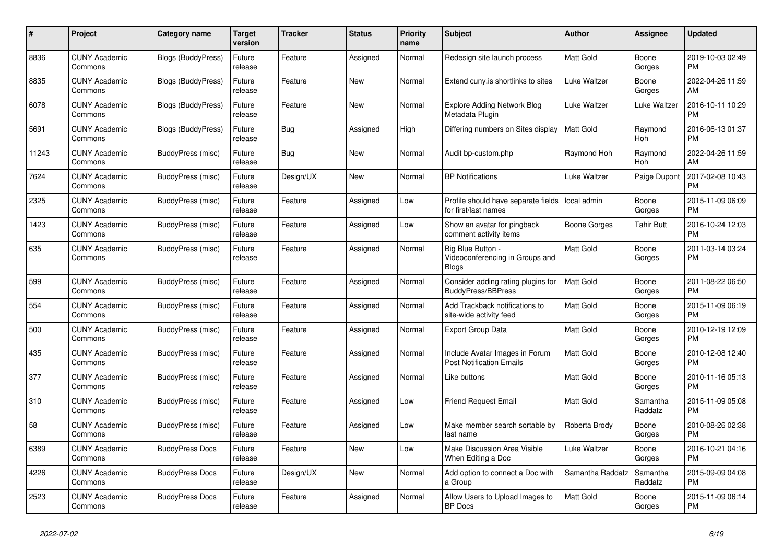| #     | Project                         | <b>Category name</b>      | <b>Target</b><br>version | <b>Tracker</b> | <b>Status</b> | Priority<br>name | <b>Subject</b>                                                       | <b>Author</b>    | <b>Assignee</b>     | <b>Updated</b>                |
|-------|---------------------------------|---------------------------|--------------------------|----------------|---------------|------------------|----------------------------------------------------------------------|------------------|---------------------|-------------------------------|
| 8836  | <b>CUNY Academic</b><br>Commons | <b>Blogs (BuddyPress)</b> | Future<br>release        | Feature        | Assigned      | Normal           | Redesign site launch process                                         | Matt Gold        | Boone<br>Gorges     | 2019-10-03 02:49<br><b>PM</b> |
| 8835  | <b>CUNY Academic</b><br>Commons | <b>Blogs (BuddyPress)</b> | Future<br>release        | Feature        | New           | Normal           | Extend cuny is shortlinks to sites                                   | Luke Waltzer     | Boone<br>Gorges     | 2022-04-26 11:59<br>AM        |
| 6078  | <b>CUNY Academic</b><br>Commons | <b>Blogs (BuddyPress)</b> | Future<br>release        | Feature        | <b>New</b>    | Normal           | Explore Adding Network Blog<br>Metadata Plugin                       | Luke Waltzer     | Luke Waltzer        | 2016-10-11 10:29<br><b>PM</b> |
| 5691  | <b>CUNY Academic</b><br>Commons | <b>Blogs (BuddyPress)</b> | Future<br>release        | Bug            | Assigned      | High             | Differing numbers on Sites display                                   | <b>Matt Gold</b> | Raymond<br>Hoh      | 2016-06-13 01:37<br><b>PM</b> |
| 11243 | <b>CUNY Academic</b><br>Commons | BuddyPress (misc)         | Future<br>release        | Bug            | New           | Normal           | Audit bp-custom.php                                                  | Raymond Hoh      | Raymond<br>Hoh      | 2022-04-26 11:59<br>AM        |
| 7624  | <b>CUNY Academic</b><br>Commons | BuddyPress (misc)         | Future<br>release        | Design/UX      | New           | Normal           | <b>BP Notifications</b>                                              | Luke Waltzer     | Paige Dupont        | 2017-02-08 10:43<br><b>PM</b> |
| 2325  | <b>CUNY Academic</b><br>Commons | BuddyPress (misc)         | Future<br>release        | Feature        | Assigned      | Low              | Profile should have separate fields<br>for first/last names          | local admin      | Boone<br>Gorges     | 2015-11-09 06:09<br><b>PM</b> |
| 1423  | <b>CUNY Academic</b><br>Commons | BuddyPress (misc)         | Future<br>release        | Feature        | Assigned      | Low              | Show an avatar for pingback<br>comment activity items                | Boone Gorges     | <b>Tahir Butt</b>   | 2016-10-24 12:03<br><b>PM</b> |
| 635   | <b>CUNY Academic</b><br>Commons | BuddyPress (misc)         | Future<br>release        | Feature        | Assigned      | Normal           | Big Blue Button -<br>Videoconferencing in Groups and<br><b>Blogs</b> | Matt Gold        | Boone<br>Gorges     | 2011-03-14 03:24<br><b>PM</b> |
| 599   | <b>CUNY Academic</b><br>Commons | BuddyPress (misc)         | Future<br>release        | Feature        | Assigned      | Normal           | Consider adding rating plugins for<br><b>BuddyPress/BBPress</b>      | <b>Matt Gold</b> | Boone<br>Gorges     | 2011-08-22 06:50<br><b>PM</b> |
| 554   | <b>CUNY Academic</b><br>Commons | <b>BuddyPress (misc)</b>  | Future<br>release        | Feature        | Assigned      | Normal           | Add Trackback notifications to<br>site-wide activity feed            | Matt Gold        | Boone<br>Gorges     | 2015-11-09 06:19<br><b>PM</b> |
| 500   | <b>CUNY Academic</b><br>Commons | BuddyPress (misc)         | Future<br>release        | Feature        | Assigned      | Normal           | <b>Export Group Data</b>                                             | <b>Matt Gold</b> | Boone<br>Gorges     | 2010-12-19 12:09<br><b>PM</b> |
| 435   | <b>CUNY Academic</b><br>Commons | BuddyPress (misc)         | Future<br>release        | Feature        | Assigned      | Normal           | Include Avatar Images in Forum<br><b>Post Notification Emails</b>    | <b>Matt Gold</b> | Boone<br>Gorges     | 2010-12-08 12:40<br><b>PM</b> |
| 377   | <b>CUNY Academic</b><br>Commons | BuddyPress (misc)         | Future<br>release        | Feature        | Assigned      | Normal           | Like buttons                                                         | Matt Gold        | Boone<br>Gorges     | 2010-11-16 05:13<br><b>PM</b> |
| 310   | <b>CUNY Academic</b><br>Commons | BuddyPress (misc)         | Future<br>release        | Feature        | Assigned      | Low              | <b>Friend Request Email</b>                                          | <b>Matt Gold</b> | Samantha<br>Raddatz | 2015-11-09 05:08<br><b>PM</b> |
| 58    | <b>CUNY Academic</b><br>Commons | BuddyPress (misc)         | Future<br>release        | Feature        | Assigned      | Low              | Make member search sortable by<br>last name                          | Roberta Brody    | Boone<br>Gorges     | 2010-08-26 02:38<br><b>PM</b> |
| 6389  | <b>CUNY Academic</b><br>Commons | <b>BuddyPress Docs</b>    | Future<br>release        | Feature        | <b>New</b>    | Low              | <b>Make Discussion Area Visible</b><br>When Editing a Doc            | Luke Waltzer     | Boone<br>Gorges     | 2016-10-21 04:16<br><b>PM</b> |
| 4226  | <b>CUNY Academic</b><br>Commons | <b>BuddyPress Docs</b>    | Future<br>release        | Design/UX      | New           | Normal           | Add option to connect a Doc with<br>a Group                          | Samantha Raddatz | Samantha<br>Raddatz | 2015-09-09 04:08<br><b>PM</b> |
| 2523  | <b>CUNY Academic</b><br>Commons | <b>BuddyPress Docs</b>    | Future<br>release        | Feature        | Assigned      | Normal           | Allow Users to Upload Images to<br><b>BP</b> Docs                    | <b>Matt Gold</b> | Boone<br>Gorges     | 2015-11-09 06:14<br><b>PM</b> |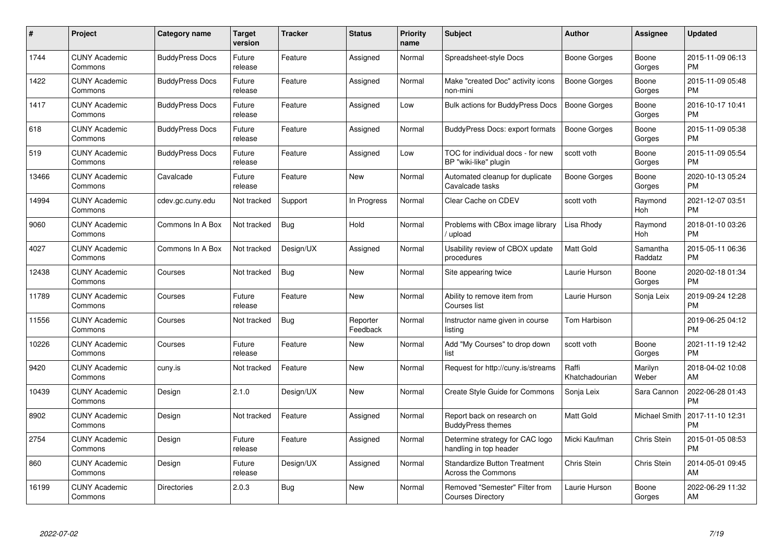| #     | Project                         | <b>Category name</b>   | Target<br>version | <b>Tracker</b> | <b>Status</b>        | <b>Priority</b><br>name | <b>Subject</b>                                                   | <b>Author</b>           | Assignee             | <b>Updated</b>                |
|-------|---------------------------------|------------------------|-------------------|----------------|----------------------|-------------------------|------------------------------------------------------------------|-------------------------|----------------------|-------------------------------|
| 1744  | <b>CUNY Academic</b><br>Commons | <b>BuddyPress Docs</b> | Future<br>release | Feature        | Assigned             | Normal                  | Spreadsheet-style Docs                                           | <b>Boone Gorges</b>     | Boone<br>Gorges      | 2015-11-09 06:13<br><b>PM</b> |
| 1422  | <b>CUNY Academic</b><br>Commons | <b>BuddyPress Docs</b> | Future<br>release | Feature        | Assigned             | Normal                  | Make "created Doc" activity icons<br>non-mini                    | <b>Boone Gorges</b>     | Boone<br>Gorges      | 2015-11-09 05:48<br><b>PM</b> |
| 1417  | <b>CUNY Academic</b><br>Commons | <b>BuddyPress Docs</b> | Future<br>release | Feature        | Assigned             | Low                     | <b>Bulk actions for BuddyPress Docs</b>                          | <b>Boone Gorges</b>     | Boone<br>Gorges      | 2016-10-17 10:41<br><b>PM</b> |
| 618   | <b>CUNY Academic</b><br>Commons | <b>BuddyPress Docs</b> | Future<br>release | Feature        | Assigned             | Normal                  | <b>BuddyPress Docs: export formats</b>                           | Boone Gorges            | Boone<br>Gorges      | 2015-11-09 05:38<br><b>PM</b> |
| 519   | <b>CUNY Academic</b><br>Commons | <b>BuddyPress Docs</b> | Future<br>release | Feature        | Assigned             | Low                     | TOC for individual docs - for new<br>BP "wiki-like" plugin       | scott voth              | Boone<br>Gorges      | 2015-11-09 05:54<br><b>PM</b> |
| 13466 | <b>CUNY Academic</b><br>Commons | Cavalcade              | Future<br>release | Feature        | <b>New</b>           | Normal                  | Automated cleanup for duplicate<br>Cavalcade tasks               | <b>Boone Gorges</b>     | Boone<br>Gorges      | 2020-10-13 05:24<br><b>PM</b> |
| 14994 | <b>CUNY Academic</b><br>Commons | cdev.gc.cuny.edu       | Not tracked       | Support        | In Progress          | Normal                  | Clear Cache on CDEV                                              | scott voth              | Raymond<br>Hoh       | 2021-12-07 03:51<br><b>PM</b> |
| 9060  | <b>CUNY Academic</b><br>Commons | Commons In A Box       | Not tracked       | Bug            | Hold                 | Normal                  | Problems with CBox image library<br>upload                       | Lisa Rhody              | Raymond<br>Hoh       | 2018-01-10 03:26<br><b>PM</b> |
| 4027  | <b>CUNY Academic</b><br>Commons | Commons In A Box       | Not tracked       | Design/UX      | Assigned             | Normal                  | Usability review of CBOX update<br>procedures                    | <b>Matt Gold</b>        | Samantha<br>Raddatz  | 2015-05-11 06:36<br><b>PM</b> |
| 12438 | <b>CUNY Academic</b><br>Commons | Courses                | Not tracked       | <b>Bug</b>     | <b>New</b>           | Normal                  | Site appearing twice                                             | Laurie Hurson           | Boone<br>Gorges      | 2020-02-18 01:34<br><b>PM</b> |
| 11789 | <b>CUNY Academic</b><br>Commons | Courses                | Future<br>release | Feature        | <b>New</b>           | Normal                  | Ability to remove item from<br>Courses list                      | Laurie Hurson           | Sonja Leix           | 2019-09-24 12:28<br><b>PM</b> |
| 11556 | <b>CUNY Academic</b><br>Commons | Courses                | Not tracked       | <b>Bug</b>     | Reporter<br>Feedback | Normal                  | Instructor name given in course<br>listing                       | Tom Harbison            |                      | 2019-06-25 04:12<br><b>PM</b> |
| 10226 | <b>CUNY Academic</b><br>Commons | Courses                | Future<br>release | Feature        | <b>New</b>           | Normal                  | Add "My Courses" to drop down<br>list                            | scott voth              | Boone<br>Gorges      | 2021-11-19 12:42<br><b>PM</b> |
| 9420  | <b>CUNY Academic</b><br>Commons | cuny.is                | Not tracked       | Feature        | <b>New</b>           | Normal                  | Request for http://cuny.is/streams                               | Raffi<br>Khatchadourian | Marilyn<br>Weber     | 2018-04-02 10:08<br>AM        |
| 10439 | <b>CUNY Academic</b><br>Commons | Design                 | 2.1.0             | Design/UX      | <b>New</b>           | Normal                  | Create Style Guide for Commons                                   | Sonja Leix              | Sara Cannon          | 2022-06-28 01:43<br><b>PM</b> |
| 8902  | <b>CUNY Academic</b><br>Commons | Design                 | Not tracked       | Feature        | Assigned             | Normal                  | Report back on research on<br><b>BuddyPress themes</b>           | Matt Gold               | <b>Michael Smith</b> | 2017-11-10 12:31<br><b>PM</b> |
| 2754  | <b>CUNY Academic</b><br>Commons | Design                 | Future<br>release | Feature        | Assigned             | Normal                  | Determine strategy for CAC logo<br>handling in top header        | Micki Kaufman           | Chris Stein          | 2015-01-05 08:53<br><b>PM</b> |
| 860   | <b>CUNY Academic</b><br>Commons | Design                 | Future<br>release | Design/UX      | Assigned             | Normal                  | <b>Standardize Button Treatment</b><br><b>Across the Commons</b> | Chris Stein             | Chris Stein          | 2014-05-01 09:45<br>AM        |
| 16199 | <b>CUNY Academic</b><br>Commons | <b>Directories</b>     | 2.0.3             | Bug            | New                  | Normal                  | Removed "Semester" Filter from<br><b>Courses Directory</b>       | Laurie Hurson           | Boone<br>Gorges      | 2022-06-29 11:32<br>AM        |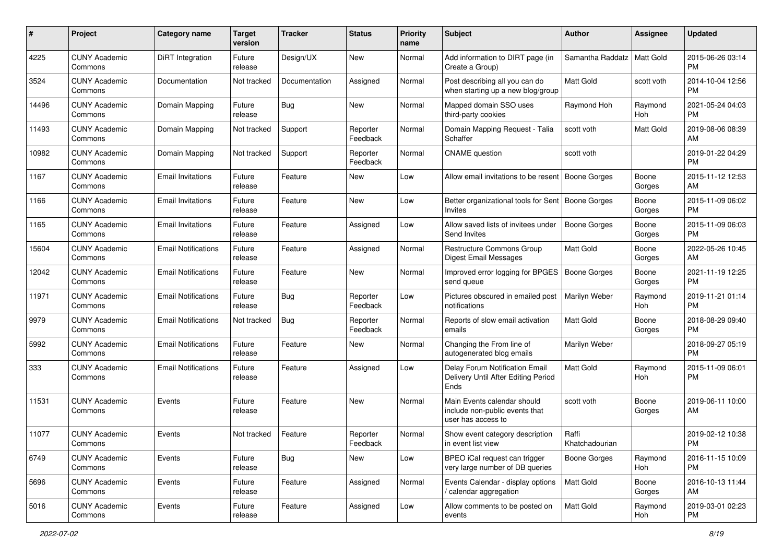| #     | Project                         | <b>Category name</b>       | <b>Target</b><br>version | <b>Tracker</b> | <b>Status</b>        | <b>Priority</b><br>name | Subject                                                                             | Author                  | <b>Assignee</b>  | <b>Updated</b>                |
|-------|---------------------------------|----------------------------|--------------------------|----------------|----------------------|-------------------------|-------------------------------------------------------------------------------------|-------------------------|------------------|-------------------------------|
| 4225  | <b>CUNY Academic</b><br>Commons | <b>DiRT</b> Integration    | Future<br>release        | Design/UX      | New                  | Normal                  | Add information to DIRT page (in<br>Create a Group)                                 | Samantha Raddatz        | <b>Matt Gold</b> | 2015-06-26 03:14<br><b>PM</b> |
| 3524  | <b>CUNY Academic</b><br>Commons | Documentation              | Not tracked              | Documentation  | Assigned             | Normal                  | Post describing all you can do<br>when starting up a new blog/group                 | Matt Gold               | scott voth       | 2014-10-04 12:56<br><b>PM</b> |
| 14496 | <b>CUNY Academic</b><br>Commons | Domain Mapping             | Future<br>release        | Bug            | New                  | Normal                  | Mapped domain SSO uses<br>third-party cookies                                       | Raymond Hoh             | Raymond<br>Hoh   | 2021-05-24 04:03<br><b>PM</b> |
| 11493 | <b>CUNY Academic</b><br>Commons | Domain Mapping             | Not tracked              | Support        | Reporter<br>Feedback | Normal                  | Domain Mapping Request - Talia<br>Schaffer                                          | scott voth              | Matt Gold        | 2019-08-06 08:39<br>AM        |
| 10982 | <b>CUNY Academic</b><br>Commons | Domain Mapping             | Not tracked              | Support        | Reporter<br>Feedback | Normal                  | <b>CNAME</b> question                                                               | scott voth              |                  | 2019-01-22 04:29<br><b>PM</b> |
| 1167  | <b>CUNY Academic</b><br>Commons | <b>Email Invitations</b>   | Future<br>release        | Feature        | New                  | Low                     | Allow email invitations to be resent                                                | Boone Gorges            | Boone<br>Gorges  | 2015-11-12 12:53<br>AM.       |
| 1166  | <b>CUNY Academic</b><br>Commons | <b>Email Invitations</b>   | Future<br>release        | Feature        | New                  | Low                     | Better organizational tools for Sent   Boone Gorges<br>Invites                      |                         | Boone<br>Gorges  | 2015-11-09 06:02<br>PM.       |
| 1165  | <b>CUNY Academic</b><br>Commons | <b>Email Invitations</b>   | Future<br>release        | Feature        | Assigned             | Low                     | Allow saved lists of invitees under<br>Send Invites                                 | <b>Boone Gorges</b>     | Boone<br>Gorges  | 2015-11-09 06:03<br>PM.       |
| 15604 | <b>CUNY Academic</b><br>Commons | <b>Email Notifications</b> | Future<br>release        | Feature        | Assigned             | Normal                  | <b>Restructure Commons Group</b><br>Digest Email Messages                           | Matt Gold               | Boone<br>Gorges  | 2022-05-26 10:45<br>AM.       |
| 12042 | <b>CUNY Academic</b><br>Commons | <b>Email Notifications</b> | Future<br>release        | Feature        | New                  | Normal                  | Improved error logging for BPGES<br>send queue                                      | Boone Gorges            | Boone<br>Gorges  | 2021-11-19 12:25<br><b>PM</b> |
| 11971 | <b>CUNY Academic</b><br>Commons | <b>Email Notifications</b> | Future<br>release        | Bug            | Reporter<br>Feedback | Low                     | Pictures obscured in emailed post<br>notifications                                  | Marilyn Weber           | Raymond<br>Hoh   | 2019-11-21 01:14<br><b>PM</b> |
| 9979  | <b>CUNY Academic</b><br>Commons | <b>Email Notifications</b> | Not tracked              | Bug            | Reporter<br>Feedback | Normal                  | Reports of slow email activation<br>emails                                          | Matt Gold               | Boone<br>Gorges  | 2018-08-29 09:40<br><b>PM</b> |
| 5992  | <b>CUNY Academic</b><br>Commons | <b>Email Notifications</b> | Future<br>release        | Feature        | New                  | Normal                  | Changing the From line of<br>autogenerated blog emails                              | Marilyn Weber           |                  | 2018-09-27 05:19<br><b>PM</b> |
| 333   | <b>CUNY Academic</b><br>Commons | <b>Email Notifications</b> | Future<br>release        | Feature        | Assigned             | Low                     | Delay Forum Notification Email<br>Delivery Until After Editing Period<br>Ends       | <b>Matt Gold</b>        | Raymond<br>Hoh   | 2015-11-09 06:01<br>PM        |
| 11531 | <b>CUNY Academic</b><br>Commons | Events                     | Future<br>release        | Feature        | New                  | Normal                  | Main Events calendar should<br>include non-public events that<br>user has access to | scott voth              | Boone<br>Gorges  | 2019-06-11 10:00<br>AM        |
| 11077 | <b>CUNY Academic</b><br>Commons | Events                     | Not tracked              | Feature        | Reporter<br>Feedback | Normal                  | Show event category description<br>in event list view                               | Raffi<br>Khatchadourian |                  | 2019-02-12 10:38<br><b>PM</b> |
| 6749  | <b>CUNY Academic</b><br>Commons | Events                     | Future<br>release        | <b>Bug</b>     | New                  | Low                     | BPEO iCal request can trigger<br>very large number of DB queries                    | Boone Gorges            | Raymond<br>Hoh   | 2016-11-15 10:09<br><b>PM</b> |
| 5696  | <b>CUNY Academic</b><br>Commons | Events                     | Future<br>release        | Feature        | Assigned             | Normal                  | Events Calendar - display options<br>/ calendar aggregation                         | <b>Matt Gold</b>        | Boone<br>Gorges  | 2016-10-13 11:44<br>AM        |
| 5016  | <b>CUNY Academic</b><br>Commons | Events                     | Future<br>release        | Feature        | Assigned             | Low                     | Allow comments to be posted on<br>events                                            | Matt Gold               | Raymond<br>Hoh   | 2019-03-01 02:23<br><b>PM</b> |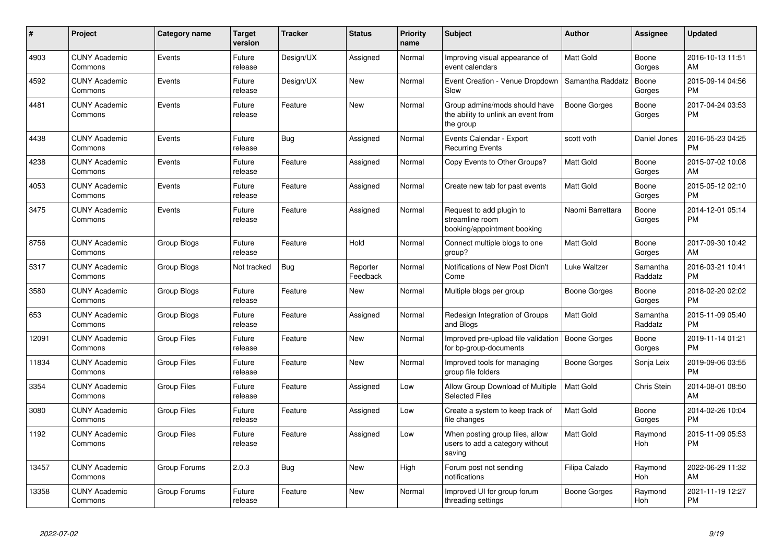| #     | Project                         | <b>Category name</b> | <b>Target</b><br>version | <b>Tracker</b> | <b>Status</b>        | <b>Priority</b><br>name | <b>Subject</b>                                                                    | <b>Author</b>    | Assignee            | <b>Updated</b>                |
|-------|---------------------------------|----------------------|--------------------------|----------------|----------------------|-------------------------|-----------------------------------------------------------------------------------|------------------|---------------------|-------------------------------|
| 4903  | <b>CUNY Academic</b><br>Commons | Events               | Future<br>release        | Design/UX      | Assigned             | Normal                  | Improving visual appearance of<br>event calendars                                 | Matt Gold        | Boone<br>Gorges     | 2016-10-13 11:51<br>AM        |
| 4592  | <b>CUNY Academic</b><br>Commons | Events               | Future<br>release        | Design/UX      | <b>New</b>           | Normal                  | Event Creation - Venue Dropdown<br>Slow                                           | Samantha Raddatz | Boone<br>Gorges     | 2015-09-14 04:56<br><b>PM</b> |
| 4481  | <b>CUNY Academic</b><br>Commons | Events               | Future<br>release        | Feature        | <b>New</b>           | Normal                  | Group admins/mods should have<br>the ability to unlink an event from<br>the group | Boone Gorges     | Boone<br>Gorges     | 2017-04-24 03:53<br><b>PM</b> |
| 4438  | <b>CUNY Academic</b><br>Commons | Events               | Future<br>release        | Bug            | Assigned             | Normal                  | Events Calendar - Export<br><b>Recurring Events</b>                               | scott voth       | Daniel Jones        | 2016-05-23 04:25<br><b>PM</b> |
| 4238  | <b>CUNY Academic</b><br>Commons | Events               | Future<br>release        | Feature        | Assigned             | Normal                  | Copy Events to Other Groups?                                                      | Matt Gold        | Boone<br>Gorges     | 2015-07-02 10:08<br>AM        |
| 4053  | <b>CUNY Academic</b><br>Commons | Events               | Future<br>release        | Feature        | Assigned             | Normal                  | Create new tab for past events                                                    | <b>Matt Gold</b> | Boone<br>Gorges     | 2015-05-12 02:10<br><b>PM</b> |
| 3475  | <b>CUNY Academic</b><br>Commons | Events               | Future<br>release        | Feature        | Assigned             | Normal                  | Request to add plugin to<br>streamline room<br>booking/appointment booking        | Naomi Barrettara | Boone<br>Gorges     | 2014-12-01 05:14<br><b>PM</b> |
| 8756  | <b>CUNY Academic</b><br>Commons | <b>Group Blogs</b>   | Future<br>release        | Feature        | Hold                 | Normal                  | Connect multiple blogs to one<br>group?                                           | <b>Matt Gold</b> | Boone<br>Gorges     | 2017-09-30 10:42<br>AM        |
| 5317  | <b>CUNY Academic</b><br>Commons | Group Blogs          | Not tracked              | Bug            | Reporter<br>Feedback | Normal                  | Notifications of New Post Didn't<br>Come                                          | Luke Waltzer     | Samantha<br>Raddatz | 2016-03-21 10:41<br><b>PM</b> |
| 3580  | <b>CUNY Academic</b><br>Commons | Group Blogs          | Future<br>release        | Feature        | New                  | Normal                  | Multiple blogs per group                                                          | Boone Gorges     | Boone<br>Gorges     | 2018-02-20 02:02<br><b>PM</b> |
| 653   | <b>CUNY Academic</b><br>Commons | Group Blogs          | Future<br>release        | Feature        | Assigned             | Normal                  | Redesign Integration of Groups<br>and Blogs                                       | <b>Matt Gold</b> | Samantha<br>Raddatz | 2015-11-09 05:40<br><b>PM</b> |
| 12091 | <b>CUNY Academic</b><br>Commons | <b>Group Files</b>   | Future<br>release        | Feature        | <b>New</b>           | Normal                  | Improved pre-upload file validation<br>for bp-group-documents                     | Boone Gorges     | Boone<br>Gorges     | 2019-11-14 01:21<br><b>PM</b> |
| 11834 | <b>CUNY Academic</b><br>Commons | <b>Group Files</b>   | Future<br>release        | Feature        | <b>New</b>           | Normal                  | Improved tools for managing<br>group file folders                                 | Boone Gorges     | Sonja Leix          | 2019-09-06 03:55<br><b>PM</b> |
| 3354  | <b>CUNY Academic</b><br>Commons | <b>Group Files</b>   | Future<br>release        | Feature        | Assigned             | Low                     | Allow Group Download of Multiple<br><b>Selected Files</b>                         | <b>Matt Gold</b> | Chris Stein         | 2014-08-01 08:50<br>AM        |
| 3080  | <b>CUNY Academic</b><br>Commons | <b>Group Files</b>   | Future<br>release        | Feature        | Assigned             | Low                     | Create a system to keep track of<br>file changes                                  | <b>Matt Gold</b> | Boone<br>Gorges     | 2014-02-26 10:04<br><b>PM</b> |
| 1192  | <b>CUNY Academic</b><br>Commons | Group Files          | Future<br>release        | Feature        | Assigned             | Low                     | When posting group files, allow<br>users to add a category without<br>saving      | <b>Matt Gold</b> | Raymond<br>Hoh      | 2015-11-09 05:53<br><b>PM</b> |
| 13457 | <b>CUNY Academic</b><br>Commons | Group Forums         | 2.0.3                    | <b>Bug</b>     | <b>New</b>           | High                    | Forum post not sending<br>notifications                                           | Filipa Calado    | Raymond<br>Hoh      | 2022-06-29 11:32<br>AM        |
| 13358 | <b>CUNY Academic</b><br>Commons | Group Forums         | Future<br>release        | Feature        | <b>New</b>           | Normal                  | Improved UI for group forum<br>threading settings                                 | Boone Gorges     | Raymond<br>Hoh      | 2021-11-19 12:27<br><b>PM</b> |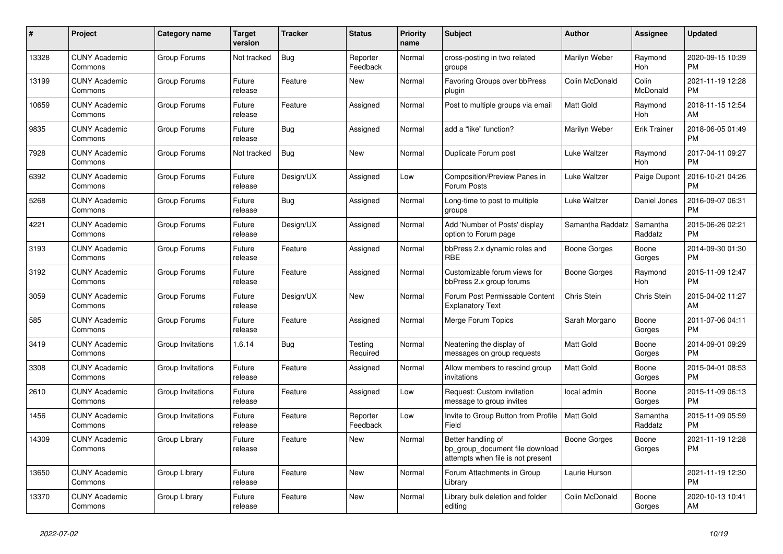| #     | Project                         | <b>Category name</b> | Target<br>version | <b>Tracker</b> | <b>Status</b>        | <b>Priority</b><br>name | <b>Subject</b>                                                                             | <b>Author</b>       | Assignee            | <b>Updated</b>                |
|-------|---------------------------------|----------------------|-------------------|----------------|----------------------|-------------------------|--------------------------------------------------------------------------------------------|---------------------|---------------------|-------------------------------|
| 13328 | <b>CUNY Academic</b><br>Commons | Group Forums         | Not tracked       | <b>Bug</b>     | Reporter<br>Feedback | Normal                  | cross-posting in two related<br>groups                                                     | Marilyn Weber       | Raymond<br>Hoh      | 2020-09-15 10:39<br><b>PM</b> |
| 13199 | <b>CUNY Academic</b><br>Commons | Group Forums         | Future<br>release | Feature        | New                  | Normal                  | <b>Favoring Groups over bbPress</b><br>plugin                                              | Colin McDonald      | Colin<br>McDonald   | 2021-11-19 12:28<br><b>PM</b> |
| 10659 | <b>CUNY Academic</b><br>Commons | Group Forums         | Future<br>release | Feature        | Assigned             | Normal                  | Post to multiple groups via email                                                          | Matt Gold           | Raymond<br>Hoh      | 2018-11-15 12:54<br>AM        |
| 9835  | <b>CUNY Academic</b><br>Commons | Group Forums         | Future<br>release | <b>Bug</b>     | Assigned             | Normal                  | add a "like" function?                                                                     | Marilyn Weber       | <b>Erik Trainer</b> | 2018-06-05 01:49<br><b>PM</b> |
| 7928  | <b>CUNY Academic</b><br>Commons | Group Forums         | Not tracked       | Bug            | New                  | Normal                  | Duplicate Forum post                                                                       | Luke Waltzer        | Raymond<br>Hoh      | 2017-04-11 09:27<br><b>PM</b> |
| 6392  | <b>CUNY Academic</b><br>Commons | Group Forums         | Future<br>release | Design/UX      | Assigned             | Low                     | <b>Composition/Preview Panes in</b><br>Forum Posts                                         | Luke Waltzer        | Paige Dupont        | 2016-10-21 04:26<br><b>PM</b> |
| 5268  | <b>CUNY Academic</b><br>Commons | Group Forums         | Future<br>release | Bug            | Assigned             | Normal                  | Long-time to post to multiple<br>groups                                                    | Luke Waltzer        | Daniel Jones        | 2016-09-07 06:31<br><b>PM</b> |
| 4221  | <b>CUNY Academic</b><br>Commons | Group Forums         | Future<br>release | Design/UX      | Assigned             | Normal                  | Add 'Number of Posts' display<br>option to Forum page                                      | Samantha Raddatz    | Samantha<br>Raddatz | 2015-06-26 02:21<br><b>PM</b> |
| 3193  | <b>CUNY Academic</b><br>Commons | Group Forums         | Future<br>release | Feature        | Assigned             | Normal                  | bbPress 2.x dynamic roles and<br><b>RBE</b>                                                | Boone Gorges        | Boone<br>Gorges     | 2014-09-30 01:30<br><b>PM</b> |
| 3192  | <b>CUNY Academic</b><br>Commons | Group Forums         | Future<br>release | Feature        | Assigned             | Normal                  | Customizable forum views for<br>bbPress 2.x group forums                                   | Boone Gorges        | Raymond<br>Hoh      | 2015-11-09 12:47<br><b>PM</b> |
| 3059  | <b>CUNY Academic</b><br>Commons | Group Forums         | Future<br>release | Design/UX      | New                  | Normal                  | Forum Post Permissable Content<br><b>Explanatory Text</b>                                  | Chris Stein         | Chris Stein         | 2015-04-02 11:27<br>AM        |
| 585   | <b>CUNY Academic</b><br>Commons | Group Forums         | Future<br>release | Feature        | Assigned             | Normal                  | Merge Forum Topics                                                                         | Sarah Morgano       | Boone<br>Gorges     | 2011-07-06 04:11<br><b>PM</b> |
| 3419  | <b>CUNY Academic</b><br>Commons | Group Invitations    | 1.6.14            | Bug            | Testing<br>Required  | Normal                  | Neatening the display of<br>messages on group requests                                     | Matt Gold           | Boone<br>Gorges     | 2014-09-01 09:29<br><b>PM</b> |
| 3308  | <b>CUNY Academic</b><br>Commons | Group Invitations    | Future<br>release | Feature        | Assigned             | Normal                  | Allow members to rescind group<br>invitations                                              | <b>Matt Gold</b>    | Boone<br>Gorges     | 2015-04-01 08:53<br><b>PM</b> |
| 2610  | <b>CUNY Academic</b><br>Commons | Group Invitations    | Future<br>release | Feature        | Assigned             | Low                     | Request: Custom invitation<br>message to group invites                                     | local admin         | Boone<br>Gorges     | 2015-11-09 06:13<br><b>PM</b> |
| 1456  | <b>CUNY Academic</b><br>Commons | Group Invitations    | Future<br>release | Feature        | Reporter<br>Feedback | Low                     | Invite to Group Button from Profile<br>Field                                               | <b>Matt Gold</b>    | Samantha<br>Raddatz | 2015-11-09 05:59<br><b>PM</b> |
| 14309 | <b>CUNY Academic</b><br>Commons | Group Library        | Future<br>release | Feature        | New                  | Normal                  | Better handling of<br>bp_group_document file download<br>attempts when file is not present | <b>Boone Gorges</b> | Boone<br>Gorges     | 2021-11-19 12:28<br><b>PM</b> |
| 13650 | <b>CUNY Academic</b><br>Commons | Group Library        | Future<br>release | Feature        | New                  | Normal                  | Forum Attachments in Group<br>Library                                                      | Laurie Hurson       |                     | 2021-11-19 12:30<br><b>PM</b> |
| 13370 | <b>CUNY Academic</b><br>Commons | Group Library        | Future<br>release | Feature        | <b>New</b>           | Normal                  | Library bulk deletion and folder<br>editing                                                | Colin McDonald      | Boone<br>Gorges     | 2020-10-13 10:41<br>AM        |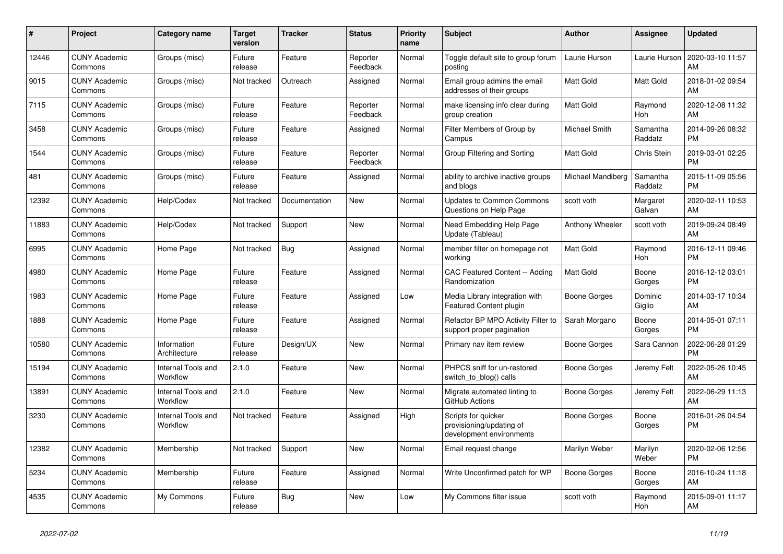| #     | Project                         | <b>Category name</b>           | <b>Target</b><br>version | <b>Tracker</b> | <b>Status</b>        | Priority<br>name | <b>Subject</b>                                                              | <b>Author</b>          | Assignee            | <b>Updated</b>                |
|-------|---------------------------------|--------------------------------|--------------------------|----------------|----------------------|------------------|-----------------------------------------------------------------------------|------------------------|---------------------|-------------------------------|
| 12446 | <b>CUNY Academic</b><br>Commons | Groups (misc)                  | Future<br>release        | Feature        | Reporter<br>Feedback | Normal           | Toggle default site to group forum<br>posting                               | Laurie Hurson          | Laurie Hurson       | 2020-03-10 11:57<br>AM        |
| 9015  | <b>CUNY Academic</b><br>Commons | Groups (misc)                  | Not tracked              | Outreach       | Assigned             | Normal           | Email group admins the email<br>addresses of their groups                   | Matt Gold              | Matt Gold           | 2018-01-02 09:54<br>AM        |
| 7115  | <b>CUNY Academic</b><br>Commons | Groups (misc)                  | Future<br>release        | Feature        | Reporter<br>Feedback | Normal           | make licensing info clear during<br>group creation                          | <b>Matt Gold</b>       | Raymond<br>Hoh      | 2020-12-08 11:32<br>AM        |
| 3458  | <b>CUNY Academic</b><br>Commons | Groups (misc)                  | Future<br>release        | Feature        | Assigned             | Normal           | Filter Members of Group by<br>Campus                                        | Michael Smith          | Samantha<br>Raddatz | 2014-09-26 08:32<br><b>PM</b> |
| 1544  | <b>CUNY Academic</b><br>Commons | Groups (misc)                  | Future<br>release        | Feature        | Reporter<br>Feedback | Normal           | Group Filtering and Sorting                                                 | Matt Gold              | <b>Chris Stein</b>  | 2019-03-01 02:25<br><b>PM</b> |
| 481   | <b>CUNY Academic</b><br>Commons | Groups (misc)                  | Future<br>release        | Feature        | Assigned             | Normal           | ability to archive inactive groups<br>and blogs                             | Michael Mandiberg      | Samantha<br>Raddatz | 2015-11-09 05:56<br><b>PM</b> |
| 12392 | <b>CUNY Academic</b><br>Commons | Help/Codex                     | Not tracked              | Documentation  | <b>New</b>           | Normal           | <b>Updates to Common Commons</b><br>Questions on Help Page                  | scott voth             | Margaret<br>Galvan  | 2020-02-11 10:53<br>AM        |
| 11883 | <b>CUNY Academic</b><br>Commons | Help/Codex                     | Not tracked              | Support        | <b>New</b>           | Normal           | Need Embedding Help Page<br>Update (Tableau)                                | <b>Anthony Wheeler</b> | scott voth          | 2019-09-24 08:49<br>AM        |
| 6995  | <b>CUNY Academic</b><br>Commons | Home Page                      | Not tracked              | Bug            | Assigned             | Normal           | member filter on homepage not<br>working                                    | <b>Matt Gold</b>       | Raymond<br>Hoh      | 2016-12-11 09:46<br><b>PM</b> |
| 4980  | <b>CUNY Academic</b><br>Commons | Home Page                      | Future<br>release        | Feature        | Assigned             | Normal           | CAC Featured Content -- Adding<br>Randomization                             | <b>Matt Gold</b>       | Boone<br>Gorges     | 2016-12-12 03:01<br><b>PM</b> |
| 1983  | <b>CUNY Academic</b><br>Commons | Home Page                      | Future<br>release        | Feature        | Assigned             | Low              | Media Library integration with<br><b>Featured Content plugin</b>            | Boone Gorges           | Dominic<br>Giglio   | 2014-03-17 10:34<br>AM        |
| 1888  | <b>CUNY Academic</b><br>Commons | Home Page                      | Future<br>release        | Feature        | Assigned             | Normal           | Refactor BP MPO Activity Filter to<br>support proper pagination             | Sarah Morgano          | Boone<br>Gorges     | 2014-05-01 07:11<br><b>PM</b> |
| 10580 | <b>CUNY Academic</b><br>Commons | Information<br>Architecture    | Future<br>release        | Design/UX      | New                  | Normal           | Primary nav item review                                                     | Boone Gorges           | Sara Cannon         | 2022-06-28 01:29<br><b>PM</b> |
| 15194 | <b>CUNY Academic</b><br>Commons | Internal Tools and<br>Workflow | 2.1.0                    | Feature        | <b>New</b>           | Normal           | PHPCS sniff for un-restored<br>switch to blog() calls                       | Boone Gorges           | Jeremy Felt         | 2022-05-26 10:45<br>AM        |
| 13891 | <b>CUNY Academic</b><br>Commons | Internal Tools and<br>Workflow | 2.1.0                    | Feature        | <b>New</b>           | Normal           | Migrate automated linting to<br>GitHub Actions                              | Boone Gorges           | Jeremy Felt         | 2022-06-29 11:13<br>AM        |
| 3230  | <b>CUNY Academic</b><br>Commons | Internal Tools and<br>Workflow | Not tracked              | Feature        | Assigned             | High             | Scripts for quicker<br>provisioning/updating of<br>development environments | <b>Boone Gorges</b>    | Boone<br>Gorges     | 2016-01-26 04:54<br><b>PM</b> |
| 12382 | <b>CUNY Academic</b><br>Commons | Membership                     | Not tracked              | Support        | <b>New</b>           | Normal           | Email request change                                                        | Marilyn Weber          | Marilyn<br>Weber    | 2020-02-06 12:56<br><b>PM</b> |
| 5234  | <b>CUNY Academic</b><br>Commons | Membership                     | Future<br>release        | Feature        | Assigned             | Normal           | Write Unconfirmed patch for WP                                              | Boone Gorges           | Boone<br>Gorges     | 2016-10-24 11:18<br>AM        |
| 4535  | <b>CUNY Academic</b><br>Commons | My Commons                     | Future<br>release        | <b>Bug</b>     | <b>New</b>           | Low              | My Commons filter issue                                                     | scott voth             | Raymond<br>Hoh      | 2015-09-01 11:17<br>AM        |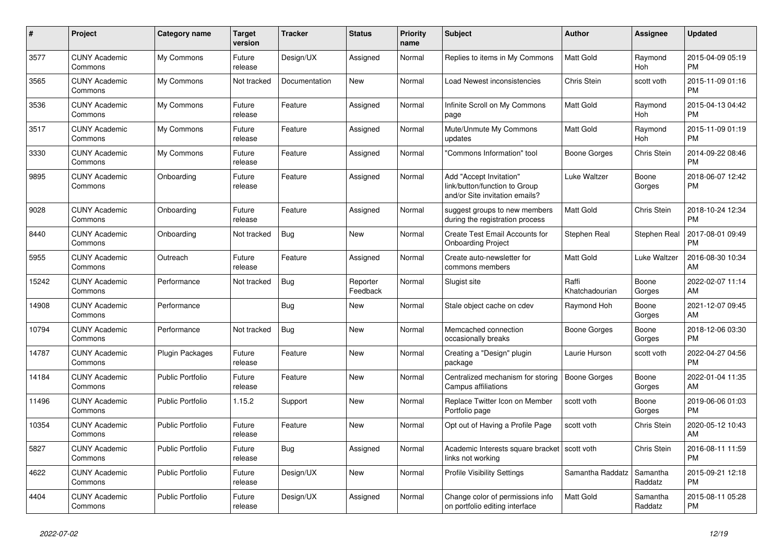| $\#$  | Project                         | <b>Category name</b>    | <b>Target</b><br>version | <b>Tracker</b> | <b>Status</b>        | <b>Priority</b><br>name | <b>Subject</b>                                                                             | <b>Author</b>           | <b>Assignee</b>     | <b>Updated</b>                |
|-------|---------------------------------|-------------------------|--------------------------|----------------|----------------------|-------------------------|--------------------------------------------------------------------------------------------|-------------------------|---------------------|-------------------------------|
| 3577  | <b>CUNY Academic</b><br>Commons | My Commons              | Future<br>release        | Design/UX      | Assigned             | Normal                  | Replies to items in My Commons                                                             | <b>Matt Gold</b>        | Raymond<br>Hoh      | 2015-04-09 05:19<br><b>PM</b> |
| 3565  | <b>CUNY Academic</b><br>Commons | My Commons              | Not tracked              | Documentation  | New                  | Normal                  | Load Newest inconsistencies                                                                | Chris Stein             | scott voth          | 2015-11-09 01:16<br><b>PM</b> |
| 3536  | <b>CUNY Academic</b><br>Commons | My Commons              | Future<br>release        | Feature        | Assigned             | Normal                  | Infinite Scroll on My Commons<br>page                                                      | Matt Gold               | Raymond<br>Hoh      | 2015-04-13 04:42<br><b>PM</b> |
| 3517  | <b>CUNY Academic</b><br>Commons | My Commons              | Future<br>release        | Feature        | Assigned             | Normal                  | Mute/Unmute My Commons<br>updates                                                          | Matt Gold               | Raymond<br>Hoh      | 2015-11-09 01:19<br><b>PM</b> |
| 3330  | <b>CUNY Academic</b><br>Commons | My Commons              | Future<br>release        | Feature        | Assigned             | Normal                  | "Commons Information" tool                                                                 | Boone Gorges            | Chris Stein         | 2014-09-22 08:46<br><b>PM</b> |
| 9895  | <b>CUNY Academic</b><br>Commons | Onboarding              | Future<br>release        | Feature        | Assigned             | Normal                  | Add "Accept Invitation"<br>link/button/function to Group<br>and/or Site invitation emails? | Luke Waltzer            | Boone<br>Gorges     | 2018-06-07 12:42<br><b>PM</b> |
| 9028  | <b>CUNY Academic</b><br>Commons | Onboarding              | Future<br>release        | Feature        | Assigned             | Normal                  | suggest groups to new members<br>during the registration process                           | Matt Gold               | Chris Stein         | 2018-10-24 12:34<br><b>PM</b> |
| 8440  | <b>CUNY Academic</b><br>Commons | Onboarding              | Not tracked              | Bug            | New                  | Normal                  | Create Test Email Accounts for<br><b>Onboarding Project</b>                                | Stephen Real            | Stephen Real        | 2017-08-01 09:49<br><b>PM</b> |
| 5955  | <b>CUNY Academic</b><br>Commons | Outreach                | Future<br>release        | Feature        | Assigned             | Normal                  | Create auto-newsletter for<br>commons members                                              | Matt Gold               | Luke Waltzer        | 2016-08-30 10:34<br>AM        |
| 15242 | <b>CUNY Academic</b><br>Commons | Performance             | Not tracked              | <b>Bug</b>     | Reporter<br>Feedback | Normal                  | Slugist site                                                                               | Raffi<br>Khatchadourian | Boone<br>Gorges     | 2022-02-07 11:14<br>AM        |
| 14908 | <b>CUNY Academic</b><br>Commons | Performance             |                          | Bug            | New                  | Normal                  | Stale object cache on cdev                                                                 | Raymond Hoh             | Boone<br>Gorges     | 2021-12-07 09:45<br>AM        |
| 10794 | <b>CUNY Academic</b><br>Commons | Performance             | Not tracked              | <b>Bug</b>     | <b>New</b>           | Normal                  | Memcached connection<br>occasionally breaks                                                | <b>Boone Gorges</b>     | Boone<br>Gorges     | 2018-12-06 03:30<br><b>PM</b> |
| 14787 | <b>CUNY Academic</b><br>Commons | Plugin Packages         | Future<br>release        | Feature        | <b>New</b>           | Normal                  | Creating a "Design" plugin<br>package                                                      | Laurie Hurson           | scott voth          | 2022-04-27 04:56<br><b>PM</b> |
| 14184 | <b>CUNY Academic</b><br>Commons | Public Portfolio        | Future<br>release        | Feature        | New                  | Normal                  | Centralized mechanism for storing<br>Campus affiliations                                   | Boone Gorges            | Boone<br>Gorges     | 2022-01-04 11:35<br>AM        |
| 11496 | <b>CUNY Academic</b><br>Commons | <b>Public Portfolio</b> | 1.15.2                   | Support        | New                  | Normal                  | Replace Twitter Icon on Member<br>Portfolio page                                           | scott voth              | Boone<br>Gorges     | 2019-06-06 01:03<br><b>PM</b> |
| 10354 | <b>CUNY Academic</b><br>Commons | <b>Public Portfolio</b> | Future<br>release        | Feature        | New                  | Normal                  | Opt out of Having a Profile Page                                                           | scott voth              | Chris Stein         | 2020-05-12 10:43<br>AM        |
| 5827  | <b>CUNY Academic</b><br>Commons | <b>Public Portfolio</b> | Future<br>release        | Bug            | Assigned             | Normal                  | Academic Interests square bracket   scott voth<br>links not working                        |                         | Chris Stein         | 2016-08-11 11:59<br><b>PM</b> |
| 4622  | <b>CUNY Academic</b><br>Commons | <b>Public Portfolio</b> | Future<br>release        | Design/UX      | New                  | Normal                  | <b>Profile Visibility Settings</b>                                                         | Samantha Raddatz        | Samantha<br>Raddatz | 2015-09-21 12:18<br><b>PM</b> |
| 4404  | <b>CUNY Academic</b><br>Commons | Public Portfolio        | Future<br>release        | Design/UX      | Assigned             | Normal                  | Change color of permissions info<br>on portfolio editing interface                         | <b>Matt Gold</b>        | Samantha<br>Raddatz | 2015-08-11 05:28<br><b>PM</b> |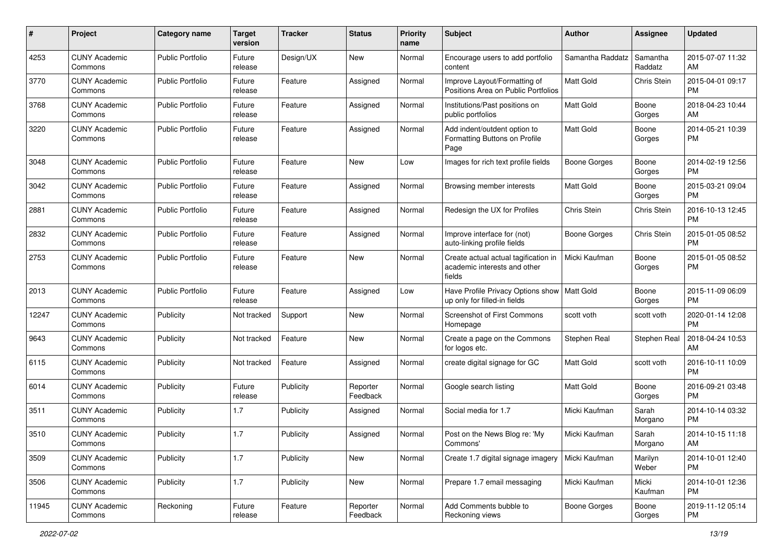| #     | Project                         | <b>Category name</b>    | <b>Target</b><br>version | <b>Tracker</b> | <b>Status</b>        | <b>Priority</b><br>name | <b>Subject</b>                                                                 | <b>Author</b>       | <b>Assignee</b>     | <b>Updated</b>                |
|-------|---------------------------------|-------------------------|--------------------------|----------------|----------------------|-------------------------|--------------------------------------------------------------------------------|---------------------|---------------------|-------------------------------|
| 4253  | <b>CUNY Academic</b><br>Commons | <b>Public Portfolio</b> | Future<br>release        | Design/UX      | New                  | Normal                  | Encourage users to add portfolio<br>content                                    | Samantha Raddatz    | Samantha<br>Raddatz | 2015-07-07 11:32<br>AM        |
| 3770  | <b>CUNY Academic</b><br>Commons | <b>Public Portfolio</b> | Future<br>release        | Feature        | Assigned             | Normal                  | Improve Layout/Formatting of<br>Positions Area on Public Portfolios            | Matt Gold           | Chris Stein         | 2015-04-01 09:17<br><b>PM</b> |
| 3768  | <b>CUNY Academic</b><br>Commons | <b>Public Portfolio</b> | Future<br>release        | Feature        | Assigned             | Normal                  | Institutions/Past positions on<br>public portfolios                            | Matt Gold           | Boone<br>Gorges     | 2018-04-23 10:44<br>AM        |
| 3220  | <b>CUNY Academic</b><br>Commons | <b>Public Portfolio</b> | Future<br>release        | Feature        | Assigned             | Normal                  | Add indent/outdent option to<br>Formatting Buttons on Profile<br>Page          | <b>Matt Gold</b>    | Boone<br>Gorges     | 2014-05-21 10:39<br>PM        |
| 3048  | <b>CUNY Academic</b><br>Commons | <b>Public Portfolio</b> | Future<br>release        | Feature        | New                  | Low                     | Images for rich text profile fields                                            | Boone Gorges        | Boone<br>Gorges     | 2014-02-19 12:56<br>PM.       |
| 3042  | <b>CUNY Academic</b><br>Commons | <b>Public Portfolio</b> | Future<br>release        | Feature        | Assigned             | Normal                  | Browsing member interests                                                      | Matt Gold           | Boone<br>Gorges     | 2015-03-21 09:04<br><b>PM</b> |
| 2881  | <b>CUNY Academic</b><br>Commons | <b>Public Portfolio</b> | Future<br>release        | Feature        | Assigned             | Normal                  | Redesign the UX for Profiles                                                   | Chris Stein         | Chris Stein         | 2016-10-13 12:45<br><b>PM</b> |
| 2832  | <b>CUNY Academic</b><br>Commons | <b>Public Portfolio</b> | Future<br>release        | Feature        | Assigned             | Normal                  | Improve interface for (not)<br>auto-linking profile fields                     | Boone Gorges        | Chris Stein         | 2015-01-05 08:52<br><b>PM</b> |
| 2753  | <b>CUNY Academic</b><br>Commons | <b>Public Portfolio</b> | Future<br>release        | Feature        | New                  | Normal                  | Create actual actual tagification in<br>academic interests and other<br>fields | Micki Kaufman       | Boone<br>Gorges     | 2015-01-05 08:52<br>PM.       |
| 2013  | <b>CUNY Academic</b><br>Commons | Public Portfolio        | Future<br>release        | Feature        | Assigned             | Low                     | Have Profile Privacy Options show   Matt Gold<br>up only for filled-in fields  |                     | Boone<br>Gorges     | 2015-11-09 06:09<br>PM.       |
| 12247 | <b>CUNY Academic</b><br>Commons | Publicity               | Not tracked              | Support        | New                  | Normal                  | Screenshot of First Commons<br>Homepage                                        | scott voth          | scott voth          | 2020-01-14 12:08<br><b>PM</b> |
| 9643  | <b>CUNY Academic</b><br>Commons | Publicity               | Not tracked              | Feature        | New                  | Normal                  | Create a page on the Commons<br>for logos etc.                                 | Stephen Real        | Stephen Real        | 2018-04-24 10:53<br>AM.       |
| 6115  | <b>CUNY Academic</b><br>Commons | Publicity               | Not tracked              | Feature        | Assigned             | Normal                  | create digital signage for GC                                                  | <b>Matt Gold</b>    | scott voth          | 2016-10-11 10:09<br>PM.       |
| 6014  | <b>CUNY Academic</b><br>Commons | Publicity               | Future<br>release        | Publicity      | Reporter<br>Feedback | Normal                  | Google search listing                                                          | Matt Gold           | Boone<br>Gorges     | 2016-09-21 03:48<br><b>PM</b> |
| 3511  | <b>CUNY Academic</b><br>Commons | Publicity               | 1.7                      | Publicity      | Assigned             | Normal                  | Social media for 1.7                                                           | Micki Kaufman       | Sarah<br>Morgano    | 2014-10-14 03:32<br><b>PM</b> |
| 3510  | <b>CUNY Academic</b><br>Commons | Publicity               | 1.7                      | Publicity      | Assigned             | Normal                  | Post on the News Blog re: 'My<br>Commons'                                      | Micki Kaufman       | Sarah<br>Morgano    | 2014-10-15 11:18<br>AM        |
| 3509  | <b>CUNY Academic</b><br>Commons | Publicity               | 1.7                      | Publicity      | New                  | Normal                  | Create 1.7 digital signage imagery                                             | Micki Kaufman       | Marilyn<br>Weber    | 2014-10-01 12:40<br>PM.       |
| 3506  | <b>CUNY Academic</b><br>Commons | Publicity               | 1.7                      | Publicity      | New                  | Normal                  | Prepare 1.7 email messaging                                                    | Micki Kaufman       | Micki<br>Kaufman    | 2014-10-01 12:36<br><b>PM</b> |
| 11945 | <b>CUNY Academic</b><br>Commons | Reckoning               | Future<br>release        | Feature        | Reporter<br>Feedback | Normal                  | Add Comments bubble to<br>Reckoning views                                      | <b>Boone Gorges</b> | Boone<br>Gorges     | 2019-11-12 05:14<br><b>PM</b> |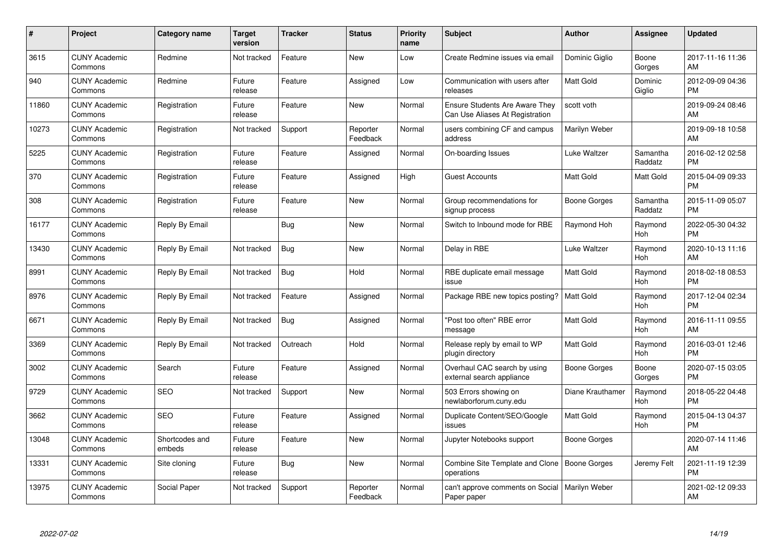| $\#$  | Project                         | <b>Category name</b>     | <b>Target</b><br>version | <b>Tracker</b> | <b>Status</b>        | Priority<br>name | <b>Subject</b>                                                    | <b>Author</b>       | <b>Assignee</b>     | <b>Updated</b>                |
|-------|---------------------------------|--------------------------|--------------------------|----------------|----------------------|------------------|-------------------------------------------------------------------|---------------------|---------------------|-------------------------------|
| 3615  | <b>CUNY Academic</b><br>Commons | Redmine                  | Not tracked              | Feature        | <b>New</b>           | Low              | Create Redmine issues via email                                   | Dominic Giglio      | Boone<br>Gorges     | 2017-11-16 11:36<br>AM        |
| 940   | <b>CUNY Academic</b><br>Commons | Redmine                  | Future<br>release        | Feature        | Assigned             | Low              | Communication with users after<br>releases                        | <b>Matt Gold</b>    | Dominic<br>Giglio   | 2012-09-09 04:36<br><b>PM</b> |
| 11860 | <b>CUNY Academic</b><br>Commons | Registration             | Future<br>release        | Feature        | <b>New</b>           | Normal           | Ensure Students Are Aware They<br>Can Use Aliases At Registration | scott voth          |                     | 2019-09-24 08:46<br>AM        |
| 10273 | <b>CUNY Academic</b><br>Commons | Registration             | Not tracked              | Support        | Reporter<br>Feedback | Normal           | users combining CF and campus<br>address                          | Marilyn Weber       |                     | 2019-09-18 10:58<br>AM        |
| 5225  | <b>CUNY Academic</b><br>Commons | Registration             | Future<br>release        | Feature        | Assigned             | Normal           | On-boarding Issues                                                | Luke Waltzer        | Samantha<br>Raddatz | 2016-02-12 02:58<br><b>PM</b> |
| 370   | <b>CUNY Academic</b><br>Commons | Registration             | Future<br>release        | Feature        | Assigned             | High             | <b>Guest Accounts</b>                                             | <b>Matt Gold</b>    | Matt Gold           | 2015-04-09 09:33<br><b>PM</b> |
| 308   | <b>CUNY Academic</b><br>Commons | Registration             | Future<br>release        | Feature        | <b>New</b>           | Normal           | Group recommendations for<br>signup process                       | Boone Gorges        | Samantha<br>Raddatz | 2015-11-09 05:07<br><b>PM</b> |
| 16177 | <b>CUNY Academic</b><br>Commons | Reply By Email           |                          | Bug            | New                  | Normal           | Switch to Inbound mode for RBE                                    | Raymond Hoh         | Raymond<br>Hoh      | 2022-05-30 04:32<br><b>PM</b> |
| 13430 | <b>CUNY Academic</b><br>Commons | Reply By Email           | Not tracked              | <b>Bug</b>     | <b>New</b>           | Normal           | Delay in RBE                                                      | Luke Waltzer        | Raymond<br>Hoh      | 2020-10-13 11:16<br>AM        |
| 8991  | <b>CUNY Academic</b><br>Commons | Reply By Email           | Not tracked              | Bug            | Hold                 | Normal           | RBE duplicate email message<br>issue                              | <b>Matt Gold</b>    | Raymond<br>Hoh      | 2018-02-18 08:53<br><b>PM</b> |
| 8976  | <b>CUNY Academic</b><br>Commons | Reply By Email           | Not tracked              | Feature        | Assigned             | Normal           | Package RBE new topics posting?                                   | <b>Matt Gold</b>    | Raymond<br>Hoh      | 2017-12-04 02:34<br><b>PM</b> |
| 6671  | <b>CUNY Academic</b><br>Commons | Reply By Email           | Not tracked              | Bug            | Assigned             | Normal           | "Post too often" RBE error<br>message                             | Matt Gold           | Raymond<br>Hoh      | 2016-11-11 09:55<br>AM        |
| 3369  | <b>CUNY Academic</b><br>Commons | Reply By Email           | Not tracked              | Outreach       | Hold                 | Normal           | Release reply by email to WP<br>plugin directory                  | Matt Gold           | Raymond<br>Hoh      | 2016-03-01 12:46<br><b>PM</b> |
| 3002  | <b>CUNY Academic</b><br>Commons | Search                   | Future<br>release        | Feature        | Assigned             | Normal           | Overhaul CAC search by using<br>external search appliance         | <b>Boone Gorges</b> | Boone<br>Gorges     | 2020-07-15 03:05<br><b>PM</b> |
| 9729  | <b>CUNY Academic</b><br>Commons | <b>SEO</b>               | Not tracked              | Support        | New                  | Normal           | 503 Errors showing on<br>newlaborforum.cuny.edu                   | Diane Krauthamer    | Raymond<br>Hoh      | 2018-05-22 04:48<br><b>PM</b> |
| 3662  | <b>CUNY Academic</b><br>Commons | <b>SEO</b>               | Future<br>release        | Feature        | Assigned             | Normal           | Duplicate Content/SEO/Google<br>issues                            | Matt Gold           | Raymond<br>Hoh      | 2015-04-13 04:37<br><b>PM</b> |
| 13048 | <b>CUNY Academic</b><br>Commons | Shortcodes and<br>embeds | Future<br>release        | Feature        | New                  | Normal           | Jupyter Notebooks support                                         | Boone Gorges        |                     | 2020-07-14 11:46<br>AM        |
| 13331 | <b>CUNY Academic</b><br>Commons | Site cloning             | Future<br>release        | Bug            | New                  | Normal           | Combine Site Template and Clone<br>operations                     | Boone Gorges        | Jeremy Felt         | 2021-11-19 12:39<br><b>PM</b> |
| 13975 | <b>CUNY Academic</b><br>Commons | Social Paper             | Not tracked              | Support        | Reporter<br>Feedback | Normal           | can't approve comments on Social<br>Paper paper                   | Marilyn Weber       |                     | 2021-02-12 09:33<br>AM        |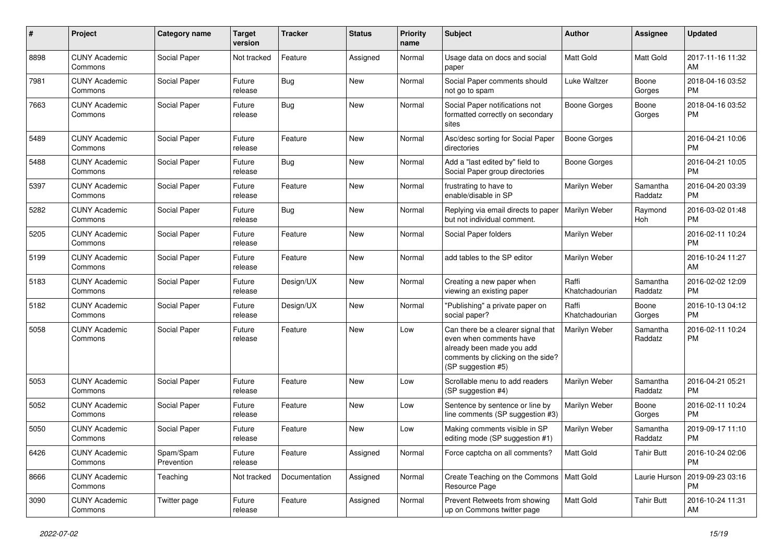| #    | Project                         | <b>Category name</b>    | <b>Target</b><br>version | <b>Tracker</b> | <b>Status</b> | Priority<br>name | <b>Subject</b>                                                                                                                                        | Author                  | <b>Assignee</b>     | <b>Updated</b>                |
|------|---------------------------------|-------------------------|--------------------------|----------------|---------------|------------------|-------------------------------------------------------------------------------------------------------------------------------------------------------|-------------------------|---------------------|-------------------------------|
| 8898 | <b>CUNY Academic</b><br>Commons | Social Paper            | Not tracked              | Feature        | Assigned      | Normal           | Usage data on docs and social<br>paper                                                                                                                | <b>Matt Gold</b>        | <b>Matt Gold</b>    | 2017-11-16 11:32<br>AM        |
| 7981 | <b>CUNY Academic</b><br>Commons | Social Paper            | Future<br>release        | <b>Bug</b>     | New           | Normal           | Social Paper comments should<br>not go to spam                                                                                                        | Luke Waltzer            | Boone<br>Gorges     | 2018-04-16 03:52<br><b>PM</b> |
| 7663 | <b>CUNY Academic</b><br>Commons | Social Paper            | Future<br>release        | Bug            | <b>New</b>    | Normal           | Social Paper notifications not<br>formatted correctly on secondary<br>sites                                                                           | <b>Boone Gorges</b>     | Boone<br>Gorges     | 2018-04-16 03:52<br><b>PM</b> |
| 5489 | <b>CUNY Academic</b><br>Commons | Social Paper            | Future<br>release        | Feature        | <b>New</b>    | Normal           | Asc/desc sorting for Social Paper<br>directories                                                                                                      | <b>Boone Gorges</b>     |                     | 2016-04-21 10:06<br><b>PM</b> |
| 5488 | <b>CUNY Academic</b><br>Commons | Social Paper            | Future<br>release        | Bug            | <b>New</b>    | Normal           | Add a "last edited by" field to<br>Social Paper group directories                                                                                     | <b>Boone Gorges</b>     |                     | 2016-04-21 10:05<br><b>PM</b> |
| 5397 | <b>CUNY Academic</b><br>Commons | Social Paper            | Future<br>release        | Feature        | <b>New</b>    | Normal           | frustrating to have to<br>enable/disable in SP                                                                                                        | Marilyn Weber           | Samantha<br>Raddatz | 2016-04-20 03:39<br><b>PM</b> |
| 5282 | <b>CUNY Academic</b><br>Commons | Social Paper            | Future<br>release        | Bug            | New           | Normal           | Replying via email directs to paper<br>but not individual comment.                                                                                    | Marilyn Weber           | Raymond<br>Hoh      | 2016-03-02 01:48<br><b>PM</b> |
| 5205 | <b>CUNY Academic</b><br>Commons | Social Paper            | Future<br>release        | Feature        | New           | Normal           | Social Paper folders                                                                                                                                  | Marilyn Weber           |                     | 2016-02-11 10:24<br><b>PM</b> |
| 5199 | <b>CUNY Academic</b><br>Commons | Social Paper            | Future<br>release        | Feature        | <b>New</b>    | Normal           | add tables to the SP editor                                                                                                                           | Marilyn Weber           |                     | 2016-10-24 11:27<br>AM        |
| 5183 | <b>CUNY Academic</b><br>Commons | Social Paper            | Future<br>release        | Design/UX      | New           | Normal           | Creating a new paper when<br>viewing an existing paper                                                                                                | Raffi<br>Khatchadourian | Samantha<br>Raddatz | 2016-02-02 12:09<br><b>PM</b> |
| 5182 | <b>CUNY Academic</b><br>Commons | Social Paper            | Future<br>release        | Design/UX      | <b>New</b>    | Normal           | "Publishing" a private paper on<br>social paper?                                                                                                      | Raffi<br>Khatchadourian | Boone<br>Gorges     | 2016-10-13 04:12<br><b>PM</b> |
| 5058 | <b>CUNY Academic</b><br>Commons | Social Paper            | Future<br>release        | Feature        | New           | Low              | Can there be a clearer signal that<br>even when comments have<br>already been made you add<br>comments by clicking on the side?<br>(SP suggestion #5) | Marilyn Weber           | Samantha<br>Raddatz | 2016-02-11 10:24<br><b>PM</b> |
| 5053 | <b>CUNY Academic</b><br>Commons | Social Paper            | Future<br>release        | Feature        | <b>New</b>    | Low              | Scrollable menu to add readers<br>(SP suggestion #4)                                                                                                  | Marilyn Weber           | Samantha<br>Raddatz | 2016-04-21 05:21<br><b>PM</b> |
| 5052 | <b>CUNY Academic</b><br>Commons | Social Paper            | Future<br>release        | Feature        | New           | Low              | Sentence by sentence or line by<br>line comments (SP suggestion #3)                                                                                   | Marilyn Weber           | Boone<br>Gorges     | 2016-02-11 10:24<br><b>PM</b> |
| 5050 | <b>CUNY Academic</b><br>Commons | Social Paper            | Future<br>release        | Feature        | <b>New</b>    | Low              | Making comments visible in SP<br>editing mode (SP suggestion #1)                                                                                      | Marilyn Weber           | Samantha<br>Raddatz | 2019-09-17 11:10<br><b>PM</b> |
| 6426 | <b>CUNY Academic</b><br>Commons | Spam/Spam<br>Prevention | Future<br>release        | Feature        | Assigned      | Normal           | Force captcha on all comments?                                                                                                                        | <b>Matt Gold</b>        | <b>Tahir Butt</b>   | 2016-10-24 02:06<br><b>PM</b> |
| 8666 | <b>CUNY Academic</b><br>Commons | Teaching                | Not tracked              | Documentation  | Assigned      | Normal           | Create Teaching on the Commons   Matt Gold<br>Resource Page                                                                                           |                         | Laurie Hurson       | 2019-09-23 03:16<br><b>PM</b> |
| 3090 | <b>CUNY Academic</b><br>Commons | Twitter page            | Future<br>release        | Feature        | Assigned      | Normal           | Prevent Retweets from showing<br>up on Commons twitter page                                                                                           | Matt Gold               | <b>Tahir Butt</b>   | 2016-10-24 11:31<br>AM        |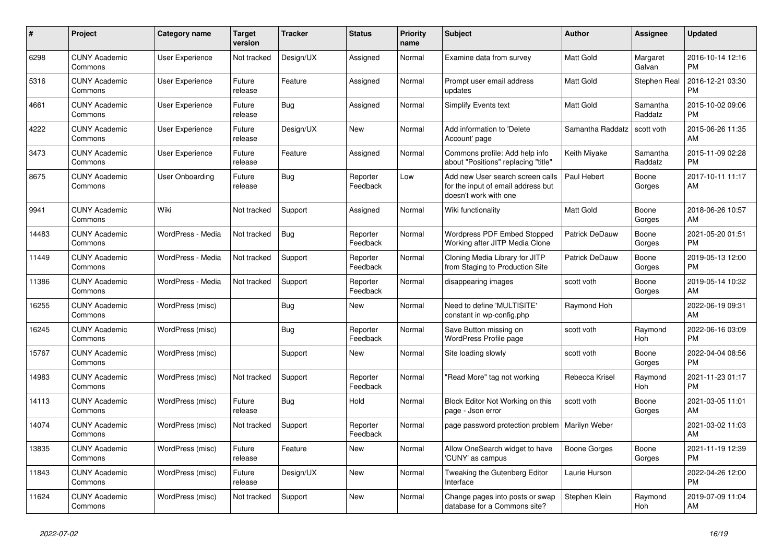| #     | Project                         | <b>Category name</b>   | <b>Target</b><br>version | <b>Tracker</b> | <b>Status</b>        | <b>Priority</b><br>name | <b>Subject</b>                                                                                  | <b>Author</b>        | Assignee            | <b>Updated</b>                |
|-------|---------------------------------|------------------------|--------------------------|----------------|----------------------|-------------------------|-------------------------------------------------------------------------------------------------|----------------------|---------------------|-------------------------------|
| 6298  | <b>CUNY Academic</b><br>Commons | <b>User Experience</b> | Not tracked              | Design/UX      | Assigned             | Normal                  | Examine data from survey                                                                        | <b>Matt Gold</b>     | Margaret<br>Galvan  | 2016-10-14 12:16<br><b>PM</b> |
| 5316  | <b>CUNY Academic</b><br>Commons | User Experience        | Future<br>release        | Feature        | Assigned             | Normal                  | Prompt user email address<br>updates                                                            | <b>Matt Gold</b>     | Stephen Real        | 2016-12-21 03:30<br><b>PM</b> |
| 4661  | <b>CUNY Academic</b><br>Commons | User Experience        | Future<br>release        | <b>Bug</b>     | Assigned             | Normal                  | Simplify Events text                                                                            | <b>Matt Gold</b>     | Samantha<br>Raddatz | 2015-10-02 09:06<br><b>PM</b> |
| 4222  | <b>CUNY Academic</b><br>Commons | User Experience        | Future<br>release        | Design/UX      | <b>New</b>           | Normal                  | Add information to 'Delete<br>Account' page                                                     | Samantha Raddatz     | scott voth          | 2015-06-26 11:35<br>AM        |
| 3473  | <b>CUNY Academic</b><br>Commons | <b>User Experience</b> | Future<br>release        | Feature        | Assigned             | Normal                  | Commons profile: Add help info<br>about "Positions" replacing "title"                           | Keith Miyake         | Samantha<br>Raddatz | 2015-11-09 02:28<br><b>PM</b> |
| 8675  | <b>CUNY Academic</b><br>Commons | User Onboarding        | Future<br>release        | Bug            | Reporter<br>Feedback | Low                     | Add new User search screen calls<br>for the input of email address but<br>doesn't work with one | Paul Hebert          | Boone<br>Gorges     | 2017-10-11 11:17<br>AM        |
| 9941  | <b>CUNY Academic</b><br>Commons | Wiki                   | Not tracked              | Support        | Assigned             | Normal                  | Wiki functionality                                                                              | Matt Gold            | Boone<br>Gorges     | 2018-06-26 10:57<br>AM        |
| 14483 | <b>CUNY Academic</b><br>Commons | WordPress - Media      | Not tracked              | <b>Bug</b>     | Reporter<br>Feedback | Normal                  | Wordpress PDF Embed Stopped<br>Working after JITP Media Clone                                   | Patrick DeDauw       | Boone<br>Gorges     | 2021-05-20 01:51<br><b>PM</b> |
| 11449 | <b>CUNY Academic</b><br>Commons | WordPress - Media      | Not tracked              | Support        | Reporter<br>Feedback | Normal                  | Cloning Media Library for JITP<br>from Staging to Production Site                               | Patrick DeDauw       | Boone<br>Gorges     | 2019-05-13 12:00<br><b>PM</b> |
| 11386 | <b>CUNY Academic</b><br>Commons | WordPress - Media      | Not tracked              | Support        | Reporter<br>Feedback | Normal                  | disappearing images                                                                             | scott voth           | Boone<br>Gorges     | 2019-05-14 10:32<br>AM        |
| 16255 | <b>CUNY Academic</b><br>Commons | WordPress (misc)       |                          | Bug            | New                  | Normal                  | Need to define 'MULTISITE'<br>constant in wp-config.php                                         | Raymond Hoh          |                     | 2022-06-19 09:31<br>AM        |
| 16245 | <b>CUNY Academic</b><br>Commons | WordPress (misc)       |                          | Bug            | Reporter<br>Feedback | Normal                  | Save Button missing on<br><b>WordPress Profile page</b>                                         | scott voth           | Raymond<br>Hoh      | 2022-06-16 03:09<br><b>PM</b> |
| 15767 | <b>CUNY Academic</b><br>Commons | WordPress (misc)       |                          | Support        | New                  | Normal                  | Site loading slowly                                                                             | scott voth           | Boone<br>Gorges     | 2022-04-04 08:56<br><b>PM</b> |
| 14983 | <b>CUNY Academic</b><br>Commons | WordPress (misc)       | Not tracked              | Support        | Reporter<br>Feedback | Normal                  | "Read More" tag not working                                                                     | Rebecca Krisel       | Raymond<br>Hoh      | 2021-11-23 01:17<br><b>PM</b> |
| 14113 | <b>CUNY Academic</b><br>Commons | WordPress (misc)       | Future<br>release        | <b>Bug</b>     | Hold                 | Normal                  | Block Editor Not Working on this<br>page - Json error                                           | scott voth           | Boone<br>Gorges     | 2021-03-05 11:01<br>AM        |
| 14074 | <b>CUNY Academic</b><br>Commons | WordPress (misc)       | Not tracked              | Support        | Reporter<br>Feedback | Normal                  | page password protection problem                                                                | <b>Marilyn Weber</b> |                     | 2021-03-02 11:03<br>AM        |
| 13835 | <b>CUNY Academic</b><br>Commons | WordPress (misc)       | Future<br>release        | Feature        | New                  | Normal                  | Allow OneSearch widget to have<br>'CUNY' as campus                                              | Boone Gorges         | Boone<br>Gorges     | 2021-11-19 12:39<br><b>PM</b> |
| 11843 | <b>CUNY Academic</b><br>Commons | WordPress (misc)       | Future<br>release        | Design/UX      | New                  | Normal                  | Tweaking the Gutenberg Editor<br>Interface                                                      | Laurie Hurson        |                     | 2022-04-26 12:00<br><b>PM</b> |
| 11624 | <b>CUNY Academic</b><br>Commons | WordPress (misc)       | Not tracked              | Support        | <b>New</b>           | Normal                  | Change pages into posts or swap<br>database for a Commons site?                                 | Stephen Klein        | Raymond<br>Hoh      | 2019-07-09 11:04<br>AM        |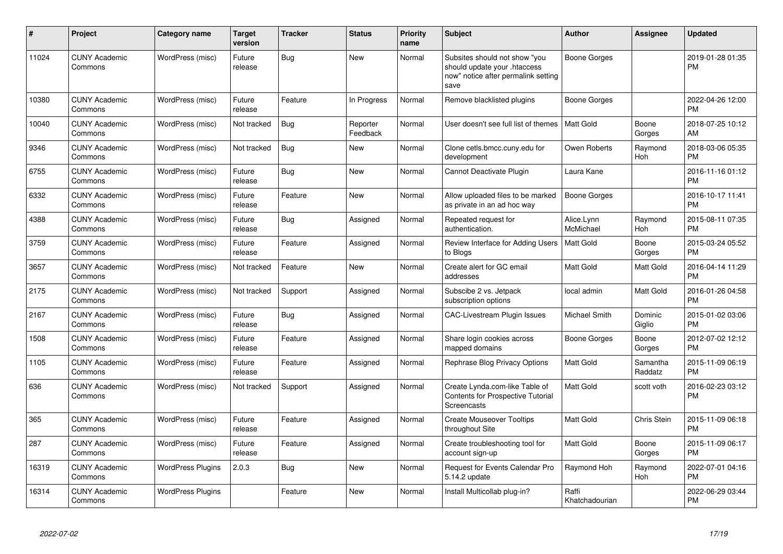| $\pmb{\#}$ | Project                         | <b>Category name</b>     | <b>Target</b><br>version | <b>Tracker</b> | <b>Status</b>        | <b>Priority</b><br>name | <b>Subject</b>                                                                                               | <b>Author</b>           | <b>Assignee</b>     | <b>Updated</b>                |
|------------|---------------------------------|--------------------------|--------------------------|----------------|----------------------|-------------------------|--------------------------------------------------------------------------------------------------------------|-------------------------|---------------------|-------------------------------|
| 11024      | <b>CUNY Academic</b><br>Commons | WordPress (misc)         | Future<br>release        | Bug            | <b>New</b>           | Normal                  | Subsites should not show "you<br>should update your .htaccess<br>now" notice after permalink setting<br>save | Boone Gorges            |                     | 2019-01-28 01:35<br><b>PM</b> |
| 10380      | <b>CUNY Academic</b><br>Commons | WordPress (misc)         | Future<br>release        | Feature        | In Progress          | Normal                  | Remove blacklisted plugins                                                                                   | Boone Gorges            |                     | 2022-04-26 12:00<br><b>PM</b> |
| 10040      | <b>CUNY Academic</b><br>Commons | WordPress (misc)         | Not tracked              | Bug            | Reporter<br>Feedback | Normal                  | User doesn't see full list of themes                                                                         | <b>Matt Gold</b>        | Boone<br>Gorges     | 2018-07-25 10:12<br>AM        |
| 9346       | <b>CUNY Academic</b><br>Commons | WordPress (misc)         | Not tracked              | <b>Bug</b>     | <b>New</b>           | Normal                  | Clone cetls.bmcc.cuny.edu for<br>development                                                                 | Owen Roberts            | Raymond<br>Hoh      | 2018-03-06 05:35<br><b>PM</b> |
| 6755       | <b>CUNY Academic</b><br>Commons | WordPress (misc)         | Future<br>release        | Bug            | <b>New</b>           | Normal                  | Cannot Deactivate Plugin                                                                                     | Laura Kane              |                     | 2016-11-16 01:12<br><b>PM</b> |
| 6332       | <b>CUNY Academic</b><br>Commons | WordPress (misc)         | Future<br>release        | Feature        | <b>New</b>           | Normal                  | Allow uploaded files to be marked<br>as private in an ad hoc way                                             | <b>Boone Gorges</b>     |                     | 2016-10-17 11:41<br><b>PM</b> |
| 4388       | <b>CUNY Academic</b><br>Commons | WordPress (misc)         | Future<br>release        | Bug            | Assigned             | Normal                  | Repeated request for<br>authentication.                                                                      | Alice.Lynn<br>McMichael | Raymond<br>Hoh      | 2015-08-11 07:35<br><b>PM</b> |
| 3759       | <b>CUNY Academic</b><br>Commons | WordPress (misc)         | Future<br>release        | Feature        | Assigned             | Normal                  | Review Interface for Adding Users<br>to Blogs                                                                | Matt Gold               | Boone<br>Gorges     | 2015-03-24 05:52<br><b>PM</b> |
| 3657       | <b>CUNY Academic</b><br>Commons | WordPress (misc)         | Not tracked              | Feature        | <b>New</b>           | Normal                  | Create alert for GC email<br>addresses                                                                       | <b>Matt Gold</b>        | Matt Gold           | 2016-04-14 11:29<br><b>PM</b> |
| 2175       | <b>CUNY Academic</b><br>Commons | WordPress (misc)         | Not tracked              | Support        | Assigned             | Normal                  | Subscibe 2 vs. Jetpack<br>subscription options                                                               | local admin             | Matt Gold           | 2016-01-26 04:58<br><b>PM</b> |
| 2167       | <b>CUNY Academic</b><br>Commons | WordPress (misc)         | Future<br>release        | Bug            | Assigned             | Normal                  | <b>CAC-Livestream Plugin Issues</b>                                                                          | Michael Smith           | Dominic<br>Giglio   | 2015-01-02 03:06<br><b>PM</b> |
| 1508       | <b>CUNY Academic</b><br>Commons | WordPress (misc)         | Future<br>release        | Feature        | Assigned             | Normal                  | Share login cookies across<br>mapped domains                                                                 | Boone Gorges            | Boone<br>Gorges     | 2012-07-02 12:12<br><b>PM</b> |
| 1105       | <b>CUNY Academic</b><br>Commons | WordPress (misc)         | Future<br>release        | Feature        | Assigned             | Normal                  | Rephrase Blog Privacy Options                                                                                | <b>Matt Gold</b>        | Samantha<br>Raddatz | 2015-11-09 06:19<br><b>PM</b> |
| 636        | <b>CUNY Academic</b><br>Commons | WordPress (misc)         | Not tracked              | Support        | Assigned             | Normal                  | Create Lynda.com-like Table of<br><b>Contents for Prospective Tutorial</b><br>Screencasts                    | Matt Gold               | scott voth          | 2016-02-23 03:12<br><b>PM</b> |
| 365        | <b>CUNY Academic</b><br>Commons | WordPress (misc)         | Future<br>release        | Feature        | Assigned             | Normal                  | <b>Create Mouseover Tooltips</b><br>throughout Site                                                          | Matt Gold               | Chris Stein         | 2015-11-09 06:18<br><b>PM</b> |
| 287        | <b>CUNY Academic</b><br>Commons | WordPress (misc)         | Future<br>release        | Feature        | Assigned             | Normal                  | Create troubleshooting tool for<br>account sign-up                                                           | <b>Matt Gold</b>        | Boone<br>Gorges     | 2015-11-09 06:17<br><b>PM</b> |
| 16319      | <b>CUNY Academic</b><br>Commons | <b>WordPress Plugins</b> | 2.0.3                    | <b>Bug</b>     | <b>New</b>           | Normal                  | Request for Events Calendar Pro<br>5.14.2 update                                                             | Raymond Hoh             | Raymond<br>Hoh      | 2022-07-01 04:16<br><b>PM</b> |
| 16314      | <b>CUNY Academic</b><br>Commons | <b>WordPress Plugins</b> |                          | Feature        | <b>New</b>           | Normal                  | Install Multicollab plug-in?                                                                                 | Raffi<br>Khatchadourian |                     | 2022-06-29 03:44<br>PM        |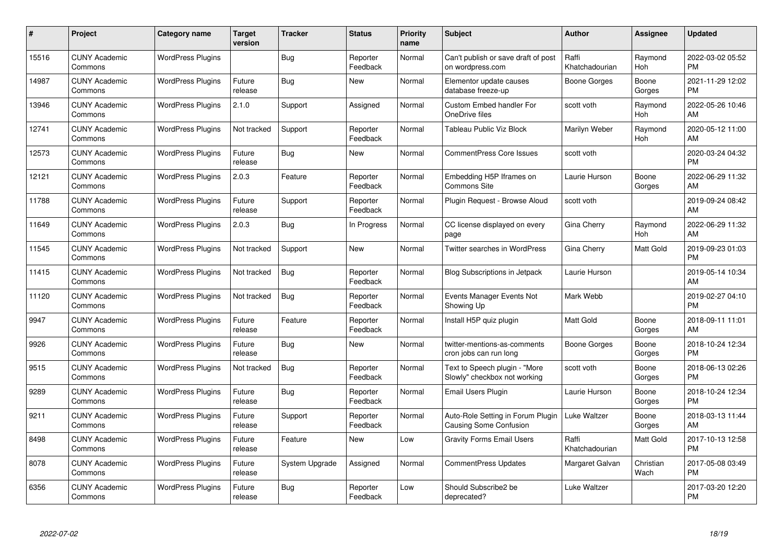| #     | Project                         | <b>Category name</b>     | <b>Target</b><br>version | <b>Tracker</b> | <b>Status</b>        | Priority<br>name | <b>Subject</b>                                                | <b>Author</b>           | <b>Assignee</b>   | <b>Updated</b>                |
|-------|---------------------------------|--------------------------|--------------------------|----------------|----------------------|------------------|---------------------------------------------------------------|-------------------------|-------------------|-------------------------------|
| 15516 | <b>CUNY Academic</b><br>Commons | <b>WordPress Plugins</b> |                          | Bug            | Reporter<br>Feedback | Normal           | Can't publish or save draft of post<br>on wordpress.com       | Raffi<br>Khatchadourian | Raymond<br>Hoh    | 2022-03-02 05:52<br><b>PM</b> |
| 14987 | <b>CUNY Academic</b><br>Commons | <b>WordPress Plugins</b> | Future<br>release        | Bug            | <b>New</b>           | Normal           | Elementor update causes<br>database freeze-up                 | Boone Gorges            | Boone<br>Gorges   | 2021-11-29 12:02<br><b>PM</b> |
| 13946 | <b>CUNY Academic</b><br>Commons | <b>WordPress Plugins</b> | 2.1.0                    | Support        | Assigned             | Normal           | <b>Custom Embed handler For</b><br>OneDrive files             | scott voth              | Raymond<br>Hoh    | 2022-05-26 10:46<br>AM        |
| 12741 | <b>CUNY Academic</b><br>Commons | <b>WordPress Plugins</b> | Not tracked              | Support        | Reporter<br>Feedback | Normal           | Tableau Public Viz Block                                      | Marilyn Weber           | Raymond<br>Hoh    | 2020-05-12 11:00<br>AM        |
| 12573 | <b>CUNY Academic</b><br>Commons | <b>WordPress Plugins</b> | Future<br>release        | Bug            | New                  | Normal           | <b>CommentPress Core Issues</b>                               | scott voth              |                   | 2020-03-24 04:32<br><b>PM</b> |
| 12121 | <b>CUNY Academic</b><br>Commons | <b>WordPress Plugins</b> | 2.0.3                    | Feature        | Reporter<br>Feedback | Normal           | Embedding H5P Iframes on<br><b>Commons Site</b>               | Laurie Hurson           | Boone<br>Gorges   | 2022-06-29 11:32<br>AM        |
| 11788 | <b>CUNY Academic</b><br>Commons | <b>WordPress Plugins</b> | Future<br>release        | Support        | Reporter<br>Feedback | Normal           | Plugin Request - Browse Aloud                                 | scott voth              |                   | 2019-09-24 08:42<br>AM        |
| 11649 | <b>CUNY Academic</b><br>Commons | <b>WordPress Plugins</b> | 2.0.3                    | Bug            | In Progress          | Normal           | CC license displayed on every<br>page                         | Gina Cherry             | Raymond<br>Hoh    | 2022-06-29 11:32<br>AM        |
| 11545 | <b>CUNY Academic</b><br>Commons | <b>WordPress Plugins</b> | Not tracked              | Support        | <b>New</b>           | Normal           | <b>Twitter searches in WordPress</b>                          | Gina Cherry             | Matt Gold         | 2019-09-23 01:03<br><b>PM</b> |
| 11415 | <b>CUNY Academic</b><br>Commons | <b>WordPress Plugins</b> | Not tracked              | Bug            | Reporter<br>Feedback | Normal           | <b>Blog Subscriptions in Jetpack</b>                          | Laurie Hurson           |                   | 2019-05-14 10:34<br>AM        |
| 11120 | <b>CUNY Academic</b><br>Commons | <b>WordPress Plugins</b> | Not tracked              | Bug            | Reporter<br>Feedback | Normal           | Events Manager Events Not<br>Showing Up                       | Mark Webb               |                   | 2019-02-27 04:10<br><b>PM</b> |
| 9947  | <b>CUNY Academic</b><br>Commons | <b>WordPress Plugins</b> | Future<br>release        | Feature        | Reporter<br>Feedback | Normal           | Install H5P quiz plugin                                       | Matt Gold               | Boone<br>Gorges   | 2018-09-11 11:01<br>AM        |
| 9926  | <b>CUNY Academic</b><br>Commons | <b>WordPress Plugins</b> | Future<br>release        | Bug            | New                  | Normal           | twitter-mentions-as-comments<br>cron jobs can run long        | Boone Gorges            | Boone<br>Gorges   | 2018-10-24 12:34<br><b>PM</b> |
| 9515  | <b>CUNY Academic</b><br>Commons | <b>WordPress Plugins</b> | Not tracked              | Bug            | Reporter<br>Feedback | Normal           | Text to Speech plugin - "More<br>Slowly" checkbox not working | scott voth              | Boone<br>Gorges   | 2018-06-13 02:26<br><b>PM</b> |
| 9289  | <b>CUNY Academic</b><br>Commons | <b>WordPress Plugins</b> | Future<br>release        | Bug            | Reporter<br>Feedback | Normal           | Email Users Plugin                                            | Laurie Hurson           | Boone<br>Gorges   | 2018-10-24 12:34<br><b>PM</b> |
| 9211  | <b>CUNY Academic</b><br>Commons | <b>WordPress Plugins</b> | Future<br>release        | Support        | Reporter<br>Feedback | Normal           | Auto-Role Setting in Forum Plugin<br>Causing Some Confusion   | Luke Waltzer            | Boone<br>Gorges   | 2018-03-13 11:44<br>AM        |
| 8498  | <b>CUNY Academic</b><br>Commons | <b>WordPress Plugins</b> | Future<br>release        | Feature        | New                  | Low              | <b>Gravity Forms Email Users</b>                              | Raffi<br>Khatchadourian | Matt Gold         | 2017-10-13 12:58<br><b>PM</b> |
| 8078  | <b>CUNY Academic</b><br>Commons | <b>WordPress Plugins</b> | Future<br>release        | System Upgrade | Assigned             | Normal           | <b>CommentPress Updates</b>                                   | Margaret Galvan         | Christian<br>Wach | 2017-05-08 03:49<br><b>PM</b> |
| 6356  | CUNY Academic<br>Commons        | <b>WordPress Plugins</b> | Future<br>release        | Bug            | Reporter<br>Feedback | Low              | Should Subscribe2 be<br>deprecated?                           | Luke Waltzer            |                   | 2017-03-20 12:20<br><b>PM</b> |